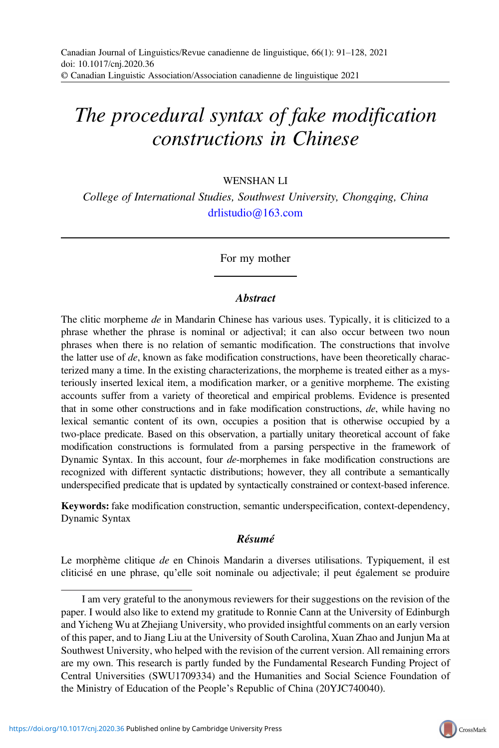# The procedural syntax of fake modification constructions in Chinese

WENSHAN LI

College of International Studies, Southwest University, Chongqing, China [drlistudio@163.com](mailto:drlistudio@163.com)

For my mother

#### **A**bstract

The clitic morpheme de in Mandarin Chinese has various uses. Typically, it is cliticized to a phrase whether the phrase is nominal or adjectival; it can also occur between two noun phrases when there is no relation of semantic modification. The constructions that involve the latter use of  $de$ , known as fake modification constructions, have been theoretically characterized many a time. In the existing characterizations, the morpheme is treated either as a mysteriously inserted lexical item, a modification marker, or a genitive morpheme. The existing accounts suffer from a variety of theoretical and empirical problems. Evidence is presented that in some other constructions and in fake modification constructions, de, while having no lexical semantic content of its own, occupies a position that is otherwise occupied by a two-place predicate. Based on this observation, a partially unitary theoretical account of fake modification constructions is formulated from a parsing perspective in the framework of Dynamic Syntax. In this account, four de-morphemes in fake modification constructions are recognized with different syntactic distributions; however, they all contribute a semantically underspecified predicate that is updated by syntactically constrained or context-based inference.

Keywords: fake modification construction, semantic underspecification, context-dependency, Dynamic Syntax

## Résumé

Le morphème clitique de en Chinois Mandarin a diverses utilisations. Typiquement, il est cliticisé en une phrase, qu'elle soit nominale ou adjectivale; il peut également se produire



I am very grateful to the anonymous reviewers for their suggestions on the revision of the paper. I would also like to extend my gratitude to Ronnie Cann at the University of Edinburgh and Yicheng Wu at Zhejiang University, who provided insightful comments on an early version of this paper, and to Jiang Liu at the University of South Carolina, Xuan Zhao and Junjun Ma at Southwest University, who helped with the revision of the current version. All remaining errors are my own. This research is partly funded by the Fundamental Research Funding Project of Central Universities (SWU1709334) and the Humanities and Social Science Foundation of the Ministry of Education of the People's Republic of China (20YJC740040).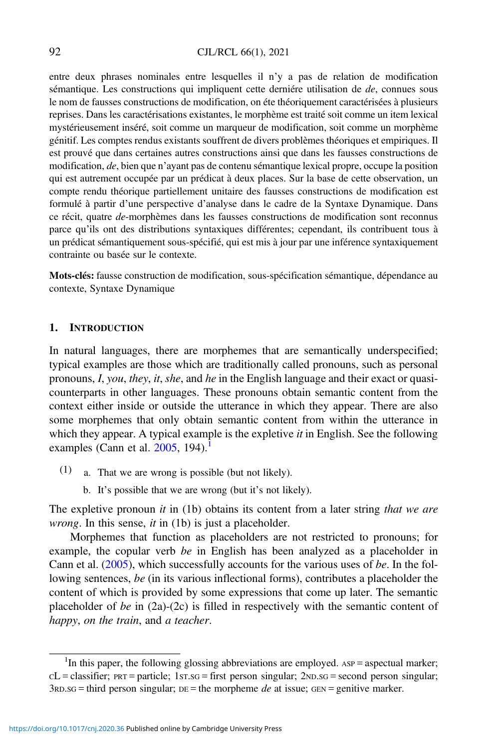#### 92 CJL/RCL 66(1), 2021

entre deux phrases nominales entre lesquelles il n'y a pas de relation de modification sémantique. Les constructions qui impliquent cette derniére utilisation de de, connues sous le nom de fausses constructions de modification, on éte théoriquement caractérisées à plusieurs reprises. Dans les caractérisations existantes, le morphème est traité soit comme un item lexical mystérieusement inséré, soit comme un marqueur de modification, soit comme un morphème génitif. Les comptes rendus existants souffrent de divers problèmes théoriques et empiriques. Il est prouvé que dans certaines autres constructions ainsi que dans les fausses constructions de modification, de, bien que n'ayant pas de contenu sémantique lexical propre, occupe la position qui est autrement occupée par un prédicat à deux places. Sur la base de cette observation, un compte rendu théorique partiellement unitaire des fausses constructions de modification est formulé à partir d'une perspective d'analyse dans le cadre de la Syntaxe Dynamique. Dans ce récit, quatre de-morphèmes dans les fausses constructions de modification sont reconnus parce qu'ils ont des distributions syntaxiques différentes; cependant, ils contribuent tous à un prédicat sémantiquement sous-spécifié, qui est mis à jour par une inférence syntaxiquement contrainte ou basée sur le contexte.

Mots-clés: fausse construction de modification, sous-spécification sémantique, dépendance au contexte, Syntaxe Dynamique

## 1. INTRODUCTION

In natural languages, there are morphemes that are semantically underspecified; typical examples are those which are traditionally called pronouns, such as personal pronouns, I, you, they, it, she, and he in the English language and their exact or quasicounterparts in other languages. These pronouns obtain semantic content from the context either inside or outside the utterance in which they appear. There are also some morphemes that only obtain semantic content from within the utterance in which they appear. A typical example is the expletive  $it$  in English. See the following examples (Cann et al.  $2005$ , 194).<sup>1</sup>

- (1) a. That we are wrong is possible (but not likely).
	- b. It's possible that we are wrong (but it's not likely).

The expletive pronoun *it* in  $(1b)$  obtains its content from a later string *that we are wrong*. In this sense,  $it$  in (1b) is just a placeholder.

Morphemes that function as placeholders are not restricted to pronouns; for example, the copular verb be in English has been analyzed as a placeholder in Cann et al.  $(2005)$  $(2005)$ , which successfully accounts for the various uses of be. In the following sentences, be (in its various inflectional forms), contributes a placeholder the content of which is provided by some expressions that come up later. The semantic placeholder of be in (2a)-(2c) is filled in respectively with the semantic content of happy, on the train, and a teacher.

<sup>&</sup>lt;sup>1</sup>In this paper, the following glossing abbreviations are employed. AsP = aspectual marker;  $cL =$  classifier;  $PRT =$  particle;  $1ST.SG =$  first person singular;  $2ND.SG =$  second person singular;  $3RDSG =$  third person singular;  $DE =$  the morpheme *de* at issue; GEN = genitive marker.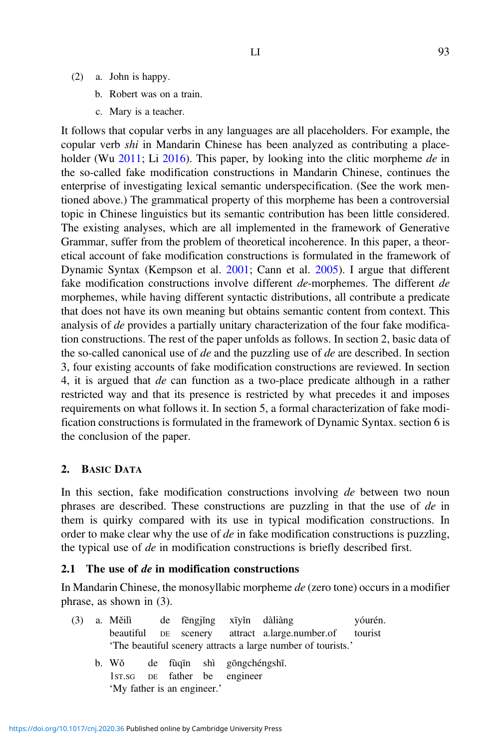- (2) a. John is happy.
	- b. Robert was on a train.
	- c. Mary is a teacher.

It follows that copular verbs in any languages are all placeholders. For example, the copular verb shi in Mandarin Chinese has been analyzed as contributing a place-holder (Wu [2011](#page-37-0); Li [2016](#page-36-0)). This paper, by looking into the clitic morpheme de in the so-called fake modification constructions in Mandarin Chinese, continues the enterprise of investigating lexical semantic underspecification. (See the work mentioned above.) The grammatical property of this morpheme has been a controversial topic in Chinese linguistics but its semantic contribution has been little considered. The existing analyses, which are all implemented in the framework of Generative Grammar, suffer from the problem of theoretical incoherence. In this paper, a theoretical account of fake modification constructions is formulated in the framework of Dynamic Syntax (Kempson et al. [2001](#page-36-0); Cann et al. [2005](#page-35-0)). I argue that different fake modification constructions involve different de-morphemes. The different de morphemes, while having different syntactic distributions, all contribute a predicate that does not have its own meaning but obtains semantic content from context. This analysis of de provides a partially unitary characterization of the four fake modification constructions. The rest of the paper unfolds as follows. In section 2, basic data of the so-called canonical use of de and the puzzling use of de are described. In section 3, four existing accounts of fake modification constructions are reviewed. In section 4, it is argued that de can function as a two-place predicate although in a rather restricted way and that its presence is restricted by what precedes it and imposes requirements on what follows it. In section 5, a formal characterization of fake modification constructions is formulated in the framework of Dynamic Syntax. section 6 is the conclusion of the paper.

## 2. BASIC DATA

In this section, fake modification constructions involving de between two noun phrases are described. These constructions are puzzling in that the use of de in them is quirky compared with its use in typical modification constructions. In order to make clear why the use of de in fake modification constructions is puzzling, the typical use of de in modification constructions is briefly described first.

## 2.1 The use of de in modification constructions

In Mandarin Chinese, the monosyllabic morpheme de (zero tone) occurs in a modifier phrase, as shown in (3).

| (3)                         |                                                              |       |  |  |  |                               | a. Měilì de fēngjing xīyin dàliàng                     | yóurén. |  |  |
|-----------------------------|--------------------------------------------------------------|-------|--|--|--|-------------------------------|--------------------------------------------------------|---------|--|--|
|                             |                                                              |       |  |  |  |                               | beautiful DE scenery attract a.large.number.of tourist |         |  |  |
|                             | 'The beautiful scenery attracts a large number of tourists.' |       |  |  |  |                               |                                                        |         |  |  |
|                             |                                                              | b. Wǒ |  |  |  | de fùgīn shì gōngchéngshī.    |                                                        |         |  |  |
|                             |                                                              |       |  |  |  | 1st, SG DE father be engineer |                                                        |         |  |  |
| 'My father is an engineer.' |                                                              |       |  |  |  |                               |                                                        |         |  |  |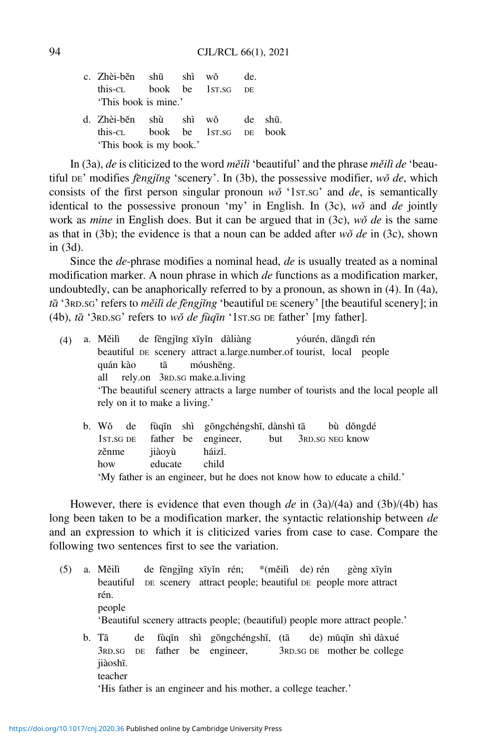|  | c. Zhèi-běn shū shì wǒ de.     |                                |  |  |  |  |  |  |  |  |  |
|--|--------------------------------|--------------------------------|--|--|--|--|--|--|--|--|--|
|  | this-cl book be 1st.sg DE      |                                |  |  |  |  |  |  |  |  |  |
|  | 'This book is mine.'           |                                |  |  |  |  |  |  |  |  |  |
|  | d. Zhèi-běn shù shì wǒ de shū. |                                |  |  |  |  |  |  |  |  |  |
|  |                                | this-cl book be 1st ss DE book |  |  |  |  |  |  |  |  |  |
|  | 'This book is my book.'        |                                |  |  |  |  |  |  |  |  |  |

In (3a), de is cliticized to the word měilì 'beautiful' and the phrase měilì de 'beautiful DE' modifies *fengjing* 'scenery'. In (3b), the possessive modifier,  $w\delta$  de, which consists of the first person singular pronoun  $w\delta$  '1st is semantically identical to the possessive pronoun 'my' in English. In (3c),  $w\delta$  and de jointly work as *mine* in English does. But it can be argued that in  $(3c)$ , wǒ de is the same as that in (3b); the evidence is that a noun can be added after  $w\delta$  de in (3c), shown in (3d).

Since the *de*-phrase modifies a nominal head, *de* is usually treated as a nominal modification marker. A noun phrase in which de functions as a modification marker, undoubtedly, can be anaphorically referred to by a pronoun, as shown in (4). In (4a), tā '3RD.SG' refers to měilì de fengjing 'beautiful DE scenery' [the beautiful scenery]; in (4b),  $t\bar{a}$  '3RD.SG' refers to wǒ de fùqīn '1ST.SG DE father' [my father].

| (4) | a. Měilì de fēngjǐng xīyǐn dàliàng |  |                                                                      | vóurén, dāngdì rén |                                                                                    |
|-----|------------------------------------|--|----------------------------------------------------------------------|--------------------|------------------------------------------------------------------------------------|
|     |                                    |  | beautiful DE scenery attract a large number of tourist, local people |                    |                                                                                    |
|     | quán kào tā móushēng.              |  |                                                                      |                    |                                                                                    |
|     | all rely.on 3RD.sG make.a.living   |  |                                                                      |                    |                                                                                    |
|     |                                    |  |                                                                      |                    | The beautiful scenery attracts a large number of tourists and the local people all |
|     | rely on it to make a living.'      |  |                                                                      |                    |                                                                                    |
|     | b. Wǒ de                           |  | fùqīn shì gōngchéngshī, dànshì tā bù dǒngdé                          |                    |                                                                                    |
|     |                                    |  | 1st SG DE father be engineer, but 3RD SG NEG know                    |                    |                                                                                    |
|     |                                    |  |                                                                      |                    |                                                                                    |

zěnme jiàoyù háizǐ. how educate child

'My father is an engineer, but he does not know how to educate a child.'

However, there is evidence that even though de in  $(3a)/(4a)$  and  $(3b)/(4b)$  has long been taken to be a modification marker, the syntactic relationship between de and an expression to which it is cliticized varies from case to case. Compare the following two sentences first to see the variation.

- (5) a. Měilì de fēngjǐng xīyǐn rén; \*(měilì de) rén gèng xīyǐn beautiful DE scenery attract people; beautiful DE people more attract rén. people 'Beautiful scenery attracts people; (beautiful) people more attract people.' b. Tā de fùqīn shì gōngchéngshī, (tā de) mǔqīn shì dàxué
	- 3RD.SG DE father be engineer, 3RD.SG DE mother be college jiàoshī. teacher

'His father is an engineer and his mother, a college teacher.'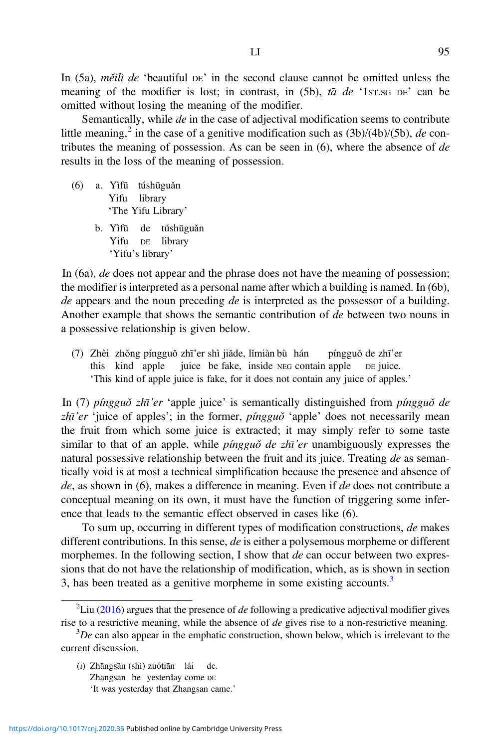In (5a), *měilì de* 'beautiful  $DE$ ' in the second clause cannot be omitted unless the meaning of the modifier is lost; in contrast, in  $(5b)$ , ta de '1st stops' can be omitted without losing the meaning of the modifier.

Semantically, while *de* in the case of adjectival modification seems to contribute little meaning,<sup>2</sup> in the case of a genitive modification such as  $(3b)/(4b)/(5b)$ , de contributes the meaning of possession. As can be seen in  $(6)$ , where the absence of de results in the loss of the meaning of possession.

- (6) a. Yìfū túshūguǎn Yifu library 'The Yifu Library'
	- b. Yìfū de túshūguǎn Yifu DE library 'Yifu's library'

In (6a), de does not appear and the phrase does not have the meaning of possession; the modifier is interpreted as a personal name after which a building is named. In (6b),  $de$  appears and the noun preceding  $de$  is interpreted as the possessor of a building. Another example that shows the semantic contribution of de between two nouns in a possessive relationship is given below.

(7) Zhèi zhǒng píngguǒ zhı'̄er shì jiǎde, lǐmiàn bù hán píngguǒ de zhı'̄er this kind apple juice be fake, inside NEG contain apple DE juice. 'This kind of apple juice is fake, for it does not contain any juice of apples.'

In (7) píngguð zhī'er 'apple juice' is semantically distinguished from píngguð de  $z\hbar\bar{i}$ 'er 'juice of apples'; in the former, pingguǒ 'apple' does not necessarily mean the fruit from which some juice is extracted; it may simply refer to some taste similar to that of an apple, while *pingguǒ de zhī'er* unambiguously expresses the natural possessive relationship between the fruit and its juice. Treating  $de$  as semantically void is at most a technical simplification because the presence and absence of  $de$ , as shown in (6), makes a difference in meaning. Even if  $de$  does not contribute a conceptual meaning on its own, it must have the function of triggering some inference that leads to the semantic effect observed in cases like (6).

To sum up, occurring in different types of modification constructions, de makes different contributions. In this sense, de is either a polysemous morpheme or different morphemes. In the following section, I show that de can occur between two expressions that do not have the relationship of modification, which, as is shown in section 3, has been treated as a genitive morpheme in some existing accounts.<sup>3</sup>

(i) Zhāngsān (shì) zuótiān lái de. Zhangsan be yesterday come DE 'It was yesterday that Zhangsan came.'

<sup>&</sup>lt;sup>2</sup>Liu [\(2016](#page-36-0)) argues that the presence of *de* following a predicative adjectival modifier gives rise to a restrictive meaning, while the absence of  $de$  gives rise to a non-restrictive meaning.

 ${}^{3}De$  can also appear in the emphatic construction, shown below, which is irrelevant to the current discussion.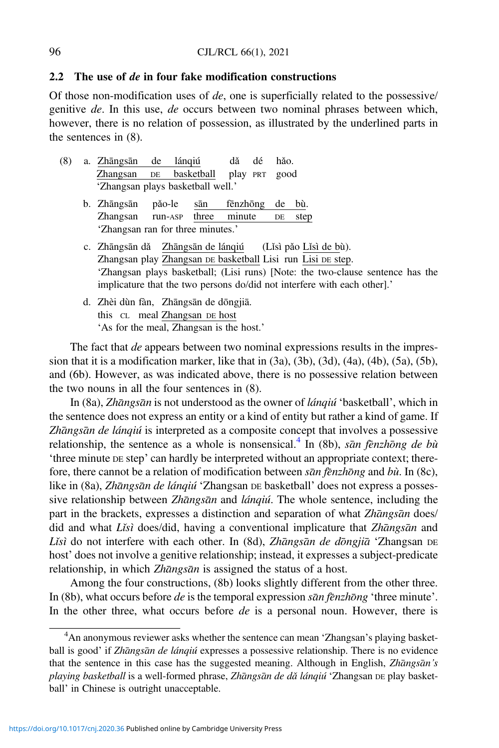#### 2.2 The use of de in four fake modification constructions

'As for the meal, Zhangsan is the host.'

Of those non-modification uses of  $de$ , one is superficially related to the possessive/ genitive de. In this use, de occurs between two nominal phrases between which, however, there is no relation of possession, as illustrated by the underlined parts in the sentences in (8).

(8) a. Zhāngsān de lánqiú dǎ dé hǎo. Zhangsan DE basketball play PRT good 'Zhangsan plays basketball well.' b. Zhāngsān pǎo-le sān fēnzhōng de bù. Zhangsan run-ASP three minute DE step 'Zhangsan ran for three minutes.' c. Zhāngsān dǎ Zhāngsān de lánqiú (Lǐsì pǎo Lǐsì de bù). Zhangsan play Zhangsan DE basketball Lisi run Lisi DE step. 'Zhangsan plays basketball; (Lisi runs) [Note: the two-clause sentence has the implicature that the two persons do/did not interfere with each other].' d. Zhèi dùn fàn, Zhāngsān de dōngjiā. this CL meal Zhangsan DE host

The fact that *de* appears between two nominal expressions results in the impression that it is a modification marker, like that in  $(3a)$ ,  $(3b)$ ,  $(3d)$ ,  $(4a)$ ,  $(4b)$ ,  $(5a)$ ,  $(5b)$ , and (6b). However, as was indicated above, there is no possessive relation between the two nouns in all the four sentences in (8).

In (8a), Zhāngsān is not understood as the owner of *lánqiú* 'basketball', which in the sentence does not express an entity or a kind of entity but rather a kind of game. If Zhāngsān de lánqiú is interpreted as a composite concept that involves a possessive relationship, the sentence as a whole is nonsensical.<sup>4</sup> In (8b), san fenzhong de bù 'three minute DE step' can hardly be interpreted without an appropriate context; therefore, there cannot be a relation of modification between  $\bar{\rho}$  and  $\bar{\rho}$  and  $\bar{\rho}$  and  $\bar{\rho}$  and  $\bar{\rho}$ ), like in (8a), Zhāngsān de lánqiú 'Zhangsan DE basketball' does not express a possessive relationship between Zhangsan and  $\hat{a}$ ngiú. The whole sentence, including the part in the brackets, expresses a distinction and separation of what Zhangsan does/ did and what Lisì does/did, having a conventional implicature that Zhangsan and Lisì do not interfere with each other. In (8d), Zhāngsān de dōngjiā 'Zhangsan DE host' does not involve a genitive relationship; instead, it expresses a subject-predicate relationship, in which Zhāngsān is assigned the status of a host.

Among the four constructions, (8b) looks slightly different from the other three. In (8b), what occurs before de is the temporal expression  $\bar{s}\bar{a}n\bar{f}e nzh \bar{o}n\bar{g}$  'three minute'. In the other three, what occurs before  $de$  is a personal noun. However, there is

<sup>&</sup>lt;sup>4</sup>An anonymous reviewer asks whether the sentence can mean 'Zhangsan's playing basketball is good' if Zhāngsān de lánqiú expresses a possessive relationship. There is no evidence that the sentence in this case has the suggested meaning. Although in English, Zhāngsān's playing basketball is a well-formed phrase, Zhāngsān de dǎ lánqiú 'Zhangsan DE play basketball' in Chinese is outright unacceptable.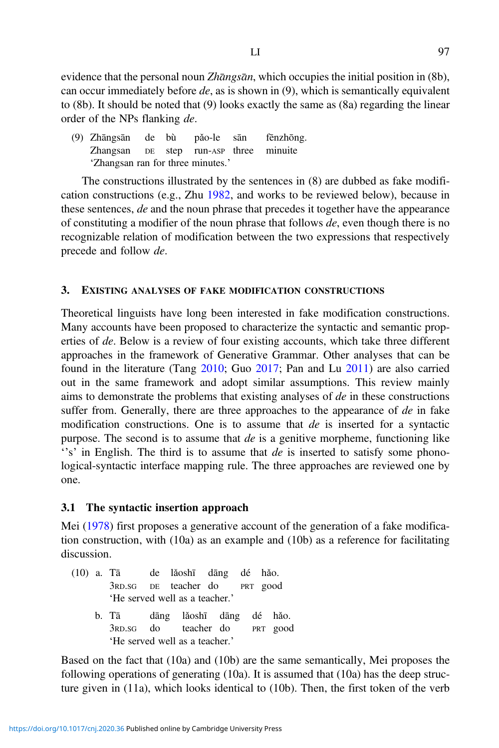evidence that the personal noun *Zhāngsān*, which occupies the initial position in (8b), can occur immediately before  $de$ , as is shown in (9), which is semantically equivalent to (8b). It should be noted that (9) looks exactly the same as (8a) regarding the linear order of the NPs flanking de.

(9) Zhāngsān de bù pǎo-le sān fēnzhōng. Zhangsan DE step run-ASP three minuite 'Zhangsan ran for three minutes.'

The constructions illustrated by the sentences in (8) are dubbed as fake modification constructions (e.g., Zhu [1982,](#page-37-0) and works to be reviewed below), because in these sentences, de and the noun phrase that precedes it together have the appearance of constituting a modifier of the noun phrase that follows  $de$ , even though there is no recognizable relation of modification between the two expressions that respectively precede and follow de.

#### 3. EXISTING ANALYSES OF FAKE MODIFICATION CONSTRUCTIONS

Theoretical linguists have long been interested in fake modification constructions. Many accounts have been proposed to characterize the syntactic and semantic properties of de. Below is a review of four existing accounts, which take three different approaches in the framework of Generative Grammar. Other analyses that can be found in the literature (Tang [2010](#page-36-0); Guo [2017;](#page-36-0) Pan and Lu [2011\)](#page-36-0) are also carried out in the same framework and adopt similar assumptions. This review mainly aims to demonstrate the problems that existing analyses of de in these constructions suffer from. Generally, there are three approaches to the appearance of  $de$  in fake modification constructions. One is to assume that  $de$  is inserted for a syntactic purpose. The second is to assume that  $de$  is a genitive morpheme, functioning like  $'s'$  in English. The third is to assume that  $de$  is inserted to satisfy some phonological-syntactic interface mapping rule. The three approaches are reviewed one by one.

#### 3.1 The syntactic insertion approach

Mei ([1978\)](#page-36-0) first proposes a generative account of the generation of a fake modification construction, with  $(10a)$  as an example and  $(10b)$  as a reference for facilitating discussion.

- (10) a. Tā de lǎoshı̄ dāng dé hǎo. 3RD.SG DE teacher do PRT good 'He served well as a teacher.'
	- b. Tā dāng lǎoshı̄ dāng dé hǎo. 3RD.SG do teacher do PRT good 'He served well as a teacher.'

Based on the fact that (10a) and (10b) are the same semantically, Mei proposes the following operations of generating  $(10a)$ . It is assumed that  $(10a)$  has the deep structure given in (11a), which looks identical to (10b). Then, the first token of the verb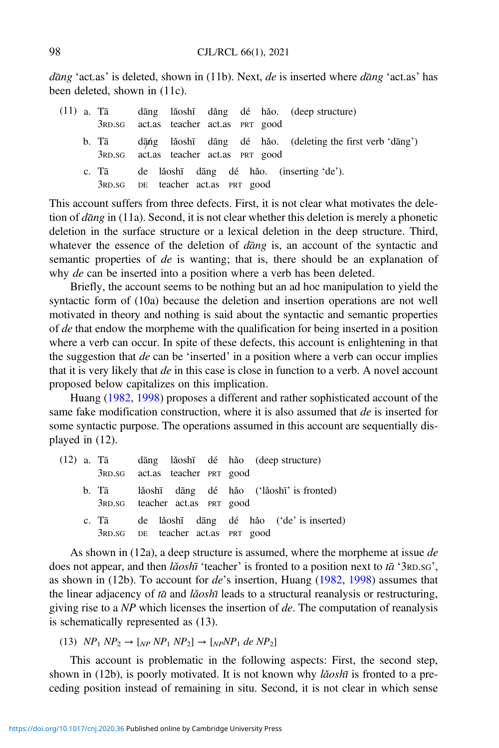*dang* 'act.as' is deleted, shown in (11b). Next, *de* is inserted where *dang* 'act.as' has been deleted, shown in (11c).

|  |                                                |  |  | (11) a. Tā dāng lǎoshī dǎng dé hǎo. (deep-structure)      |
|--|------------------------------------------------|--|--|-----------------------------------------------------------|
|  | 3RD.SG act.as teacher act.as PRT good          |  |  |                                                           |
|  | b. Tā<br>3RD.SG act.as teacher act.as PRT good |  |  | dāng lǎoshī dāng dé hǎo. (deleting the first verb 'dāng') |
|  | c. Tā<br>3RD.SG DE teacher act.as PRT good     |  |  | de lǎoshī dāng dé hǎo. (inserting 'de').                  |

This account suffers from three defects. First, it is not clear what motivates the deletion of  $d\bar{a}ng$  in (11a). Second, it is not clear whether this deletion is merely a phonetic deletion in the surface structure or a lexical deletion in the deep structure. Third, whatever the essence of the deletion of  $d\bar{a}ng$  is, an account of the syntactic and semantic properties of *de* is wanting; that is, there should be an explanation of why de can be inserted into a position where a verb has been deleted.

Briefly, the account seems to be nothing but an ad hoc manipulation to yield the syntactic form of (10a) because the deletion and insertion operations are not well motivated in theory and nothing is said about the syntactic and semantic properties of *de* that endow the morpheme with the qualification for being inserted in a position where a verb can occur. In spite of these defects, this account is enlightening in that the suggestion that de can be 'inserted' in a position where a verb can occur implies that it is very likely that de in this case is close in function to a verb. A novel account proposed below capitalizes on this implication.

Huang ([1982,](#page-36-0) [1998\)](#page-36-0) proposes a different and rather sophisticated account of the same fake modification construction, where it is also assumed that de is inserted for some syntactic purpose. The operations assumed in this account are sequentially displayed in (12).

|  |                                   |  |  | (12) a. Tā dāng lǎoshī dé hǎo (deep-structure) |
|--|-----------------------------------|--|--|------------------------------------------------|
|  | 3RD.SG act.as teacher PRT good    |  |  |                                                |
|  | 3RD.SG teacher act.as PRT good    |  |  | b. Tā lǎoshī dāng dé hǎo ('lǎoshī' is fronted) |
|  | 3RD.SG DE teacher act.as PRT good |  |  | c. Tā de lǎoshī dāng dé hǎo ('de' is inserted) |

As shown in  $(12a)$ , a deep structure is assumed, where the morpheme at issue de does not appear, and then  $\vec{a}$  oshī 'teacher' is fronted to a position next to  $\vec{a}$  '3RD.sG', as shown in (12b). To account for de's insertion, Huang [\(1982](#page-36-0), [1998\)](#page-36-0) assumes that the linear adjacency of  $t\bar{a}$  and lǎosh $\bar{u}$  leads to a structural reanalysis or restructuring, giving rise to a  $NP$  which licenses the insertion of de. The computation of reanalysis is schematically represented as (13).

(13)  $NP_1 NP_2 \rightarrow [NP NP_1 NP_2] \rightarrow [NP NP_1 de NP_2]$ 

This account is problematic in the following aspects: First, the second step, shown in (12b), is poorly motivated. It is not known why *lǎoshī* is fronted to a preceding position instead of remaining in situ. Second, it is not clear in which sense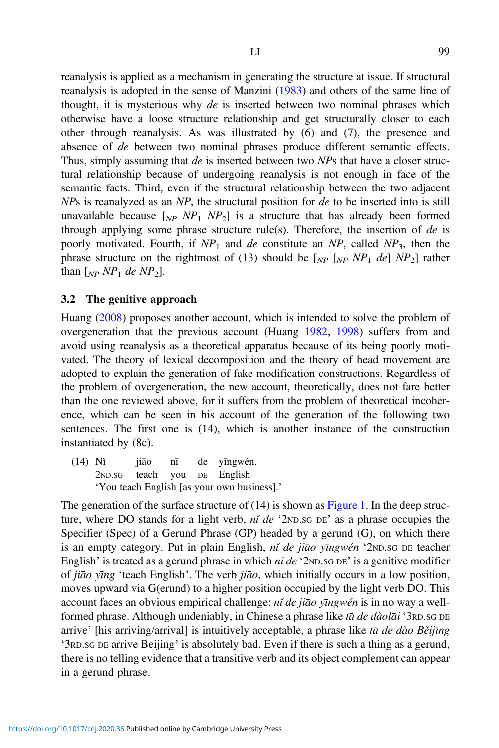reanalysis is applied as a mechanism in generating the structure at issue. If structural reanalysis is adopted in the sense of Manzini ([1983](#page-36-0)) and others of the same line of thought, it is mysterious why de is inserted between two nominal phrases which otherwise have a loose structure relationship and get structurally closer to each other through reanalysis. As was illustrated by (6) and (7), the presence and absence of de between two nominal phrases produce different semantic effects. Thus, simply assuming that de is inserted between two NPs that have a closer structural relationship because of undergoing reanalysis is not enough in face of the semantic facts. Third, even if the structural relationship between the two adjacent  $NPs$  is reanalyzed as an  $NP$ , the structural position for  $de$  to be inserted into is still unavailable because  $N_{P_1} N_{P_2}$  is a structure that has already been formed through applying some phrase structure rule(s). Therefore, the insertion of  $de$  is poorly motivated. Fourth, if  $NP_1$  and de constitute an NP, called NP<sub>3</sub>, then the phrase structure on the rightmost of (13) should be  $N_{NP}$   $N_{NP}$   $N_{Pl}$  de]  $NP_2$ ] rather than  $\lceil_{NP} NP_1 \text{ de } NP_2 \rceil$ .

#### 3.2 The genitive approach

Huang ([2008\)](#page-36-0) proposes another account, which is intended to solve the problem of overgeneration that the previous account (Huang [1982,](#page-36-0) [1998](#page-36-0)) suffers from and avoid using reanalysis as a theoretical apparatus because of its being poorly motivated. The theory of lexical decomposition and the theory of head movement are adopted to explain the generation of fake modification constructions. Regardless of the problem of overgeneration, the new account, theoretically, does not fare better than the one reviewed above, for it suffers from the problem of theoretical incoherence, which can be seen in his account of the generation of the following two sentences. The first one is (14), which is another instance of the construction instantiated by (8c).

(14) Nǐ jiāo nı̄ de yıngwén. ̄ 2ND.SG teach you DE English 'You teach English [as your own business].'

The generation of the surface structure of  $(14)$  is shown as [Figure 1.](#page-9-0) In the deep structure, where DO stands for a light verb,  $n\tilde{i}$  de '2ND.SG DE' as a phrase occupies the Specifier (Spec) of a Gerund Phrase (GP) headed by a gerund (G), on which there is an empty category. Put in plain English, ní de jiāo yīngwén '2ND.SG DE teacher English' is treated as a gerund phrase in which *ni de* ' $2ND.SG$  DE' is a genitive modifier of jiāo yīng 'teach English'. The verb jiāo, which initially occurs in a low position, moves upward via G(erund) to a higher position occupied by the light verb DO. This account faces an obvious empirical challenge: nǐ de jiāo yīngwén is in no way a wellformed phrase. Although undeniably, in Chinese a phrase like ta de dàolai '3RD.SG DE arrive' [his arriving/arrival] is intuitively acceptable, a phrase like tā de dào Běijīng '3RD.SG DE arrive Beijing' is absolutely bad. Even if there is such a thing as a gerund, there is no telling evidence that a transitive verb and its object complement can appear in a gerund phrase.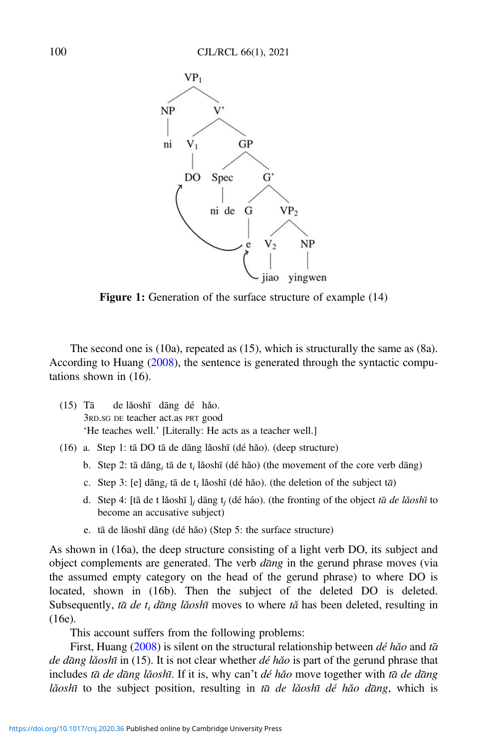<span id="page-9-0"></span>

Figure 1: Generation of the surface structure of example  $(14)$ 

The second one is (10a), repeated as (15), which is structurally the same as (8a). According to Huang [\(2008](#page-36-0)), the sentence is generated through the syntactic computations shown in (16).

- (15) Tā de lǎoshı̄ dāng dé hǎo. 3RD.SG DE teacher act.as PRT good 'He teaches well.' [Literally: He acts as a teacher well.]
- (16) a. Step 1: tāDO tāde dāng lǎoshı̄(dé hǎo). (deep structure)
	- b. Step 2: tā dāng<sub>i</sub> tā de t<sub>i</sub> lǎoshī (dé hǎo) (the movement of the core verb dāng)
	- c. Step 3: [e] dāng<sub>*i*</sub> tā de t<sub>i</sub> lǎoshī (dé hǎo). (the deletion of the subject tā)
	- d. Step 4: [tā de t lǎoshī], dāng t<sub>i</sub> (dé háo). (the fronting of the object tā de lǎoshī to become an accusative subject)
	- e. tā de lǎoshī dāng (dé hǎo) (Step 5: the surface structure)

As shown in (16a), the deep structure consisting of a light verb DO, its subject and object complements are generated. The verb  $d\bar{a}ng$  in the gerund phrase moves (via the assumed empty category on the head of the gerund phrase) to where DO is located, shown in (16b). Then the subject of the deleted DO is deleted. Subsequently, tā de t<sub>i</sub> dāng lǎoshī moves to where tǎ has been deleted, resulting in (16e).

This account suffers from the following problems:

First, Huang ([2008\)](#page-36-0) is silent on the structural relationship between  $d\acute{e}h\acute{a}o$  and  $t\bar{a}$ de dang lǎoshī in (15). It is not clear whether  $d\acute{e}$  hǎo is part of the gerund phrase that includes tā de dāng lǎoshī. If it is, why can't dé hǎo move together with tā de dāng lǎoshī to the subject position, resulting in tā de lǎoshī dé hǎo dāng, which is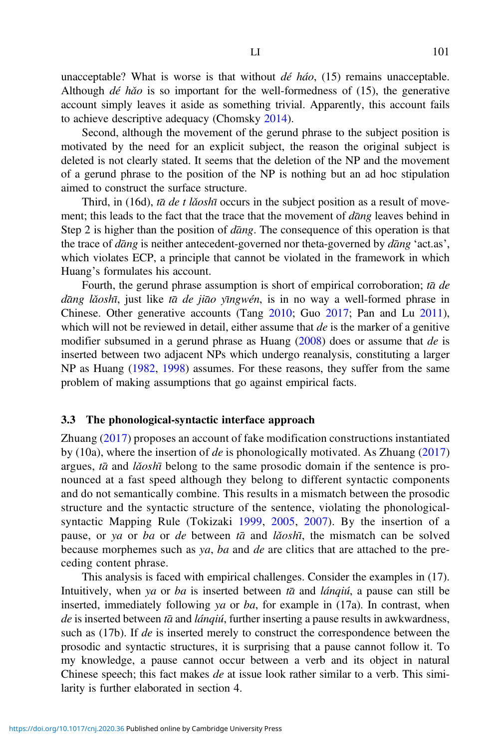unacceptable? What is worse is that without  $d\acute{e}$  háo, (15) remains unacceptable. Although  $d\acute{e}$  hǎo is so important for the well-formedness of (15), the generative account simply leaves it aside as something trivial. Apparently, this account fails to achieve descriptive adequacy (Chomsky [2014](#page-35-0)).

Second, although the movement of the gerund phrase to the subject position is motivated by the need for an explicit subject, the reason the original subject is deleted is not clearly stated. It seems that the deletion of the NP and the movement of a gerund phrase to the position of the NP is nothing but an ad hoc stipulation aimed to construct the surface structure.

Third, in (16d), tā de t lǎoshī occurs in the subject position as a result of movement; this leads to the fact that the trace that the movement of dang leaves behind in Step 2 is higher than the position of  $d\bar{a}$ ng. The consequence of this operation is that the trace of  $d\bar{a}ng$  is neither antecedent-governed nor theta-governed by  $d\bar{a}ng$  'act.as', which violates ECP, a principle that cannot be violated in the framework in which Huang's formulates his account.

Fourth, the gerund phrase assumption is short of empirical corroboration; ta de dāng lǎoshī, just like tā de jiāo yīngwén, is in no way a well-formed phrase in Chinese. Other generative accounts (Tang [2010](#page-36-0); Guo [2017](#page-36-0); Pan and Lu [2011\)](#page-36-0), which will not be reviewed in detail, either assume that  $de$  is the marker of a genitive modifier subsumed in a gerund phrase as Huang  $(2008)$  $(2008)$  does or assume that de is inserted between two adjacent NPs which undergo reanalysis, constituting a larger NP as Huang ([1982](#page-36-0), [1998](#page-36-0)) assumes. For these reasons, they suffer from the same problem of making assumptions that go against empirical facts.

#### 3.3 The phonological-syntactic interface approach

Zhuang [\(2017](#page-37-0)) proposes an account of fake modification constructions instantiated by (10a), where the insertion of de is phonologically motivated. As Zhuang  $(2017)$  $(2017)$  $(2017)$ argues,  $t\bar{a}$  and *lǎosh* $\bar{a}$  belong to the same prosodic domain if the sentence is pronounced at a fast speed although they belong to different syntactic components and do not semantically combine. This results in a mismatch between the prosodic structure and the syntactic structure of the sentence, violating the phonologicalsyntactic Mapping Rule (Tokizaki [1999](#page-36-0), [2005,](#page-37-0) [2007](#page-37-0)). By the insertion of a pause, or ya or ba or de between  $t\bar{a}$  and lăosh<sub>i</sub>, the mismatch can be solved because morphemes such as ya, ba and de are clitics that are attached to the preceding content phrase.

This analysis is faced with empirical challenges. Consider the examples in (17). Intuitively, when ya or ba is inserted between  $t\bar{a}$  and *lánqiú*, a pause can still be inserted, immediately following ya or ba, for example in  $(17a)$ . In contrast, when  $de$  is inserted between  $t\bar{a}$  and *lánqiú*, further inserting a pause results in awkwardness, such as  $(17b)$ . If de is inserted merely to construct the correspondence between the prosodic and syntactic structures, it is surprising that a pause cannot follow it. To my knowledge, a pause cannot occur between a verb and its object in natural Chinese speech; this fact makes de at issue look rather similar to a verb. This similarity is further elaborated in section 4.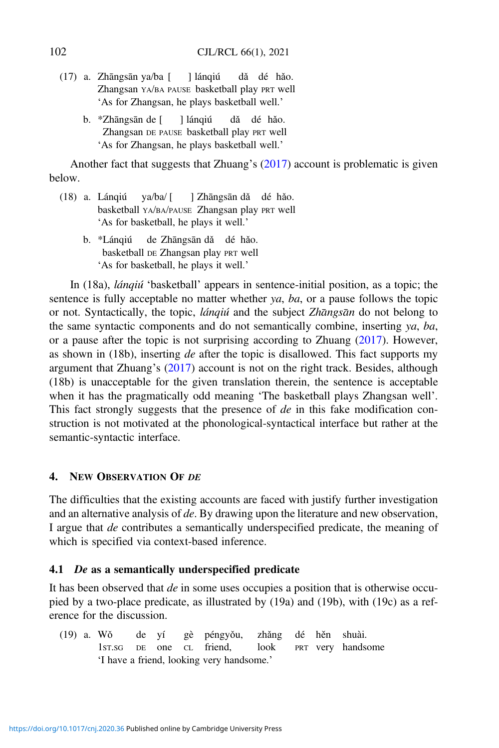- (17) a. Zhāngsān ya/ba [ ] lánqiú dǎ dé hǎo. Zhangsan YA/BA PAUSE basketball play PRT well 'As for Zhangsan, he plays basketball well.'
	- b. \*Zhāngsān de [ ] lánqiú dǎ dé hǎo. Zhangsan DE PAUSE basketball play PRT well 'As for Zhangsan, he plays basketball well.'

Another fact that suggests that Zhuang's [\(2017](#page-37-0)) account is problematic is given below.

- (18) a. Lánqiú ya/ba/ [ ] Zhāngsān dǎ dé hǎo. basketball YA/BA/PAUSE Zhangsan play PRT well 'As for basketball, he plays it well.'
	- b. \*Lánqiú de Zhāngsān dǎ dé hǎo. basketball DE Zhangsan play PRT well 'As for basketball, he plays it well.'

In (18a), lánqiú 'basketball' appears in sentence-initial position, as a topic; the sentence is fully acceptable no matter whether ya, ba, or a pause follows the topic or not. Syntactically, the topic, *lánqiú* and the subject Zhangsan do not belong to the same syntactic components and do not semantically combine, inserting ya, ba, or a pause after the topic is not surprising according to Zhuang ([2017\)](#page-37-0). However, as shown in (18b), inserting  $de$  after the topic is disallowed. This fact supports my argument that Zhuang's [\(2017](#page-37-0)) account is not on the right track. Besides, although (18b) is unacceptable for the given translation therein, the sentence is acceptable when it has the pragmatically odd meaning 'The basketball plays Zhangsan well'. This fact strongly suggests that the presence of de in this fake modification construction is not motivated at the phonological-syntactical interface but rather at the semantic-syntactic interface.

## 4. NEW OBSERVATION OF DE

The difficulties that the existing accounts are faced with justify further investigation and an alternative analysis of de. By drawing upon the literature and new observation, I argue that de contributes a semantically underspecified predicate, the meaning of which is specified via context-based inference.

## 4.1 De as a semantically underspecified predicate

It has been observed that de in some uses occupies a position that is otherwise occupied by a two-place predicate, as illustrated by (19a) and (19b), with (19c) as a reference for the discussion.

(19) a. Wǒ de yí gè péngyǒu, zhǎng dé hěn shuài. 1ST.SG DE one CL friend, look PRT very handsome 'I have a friend, looking very handsome.'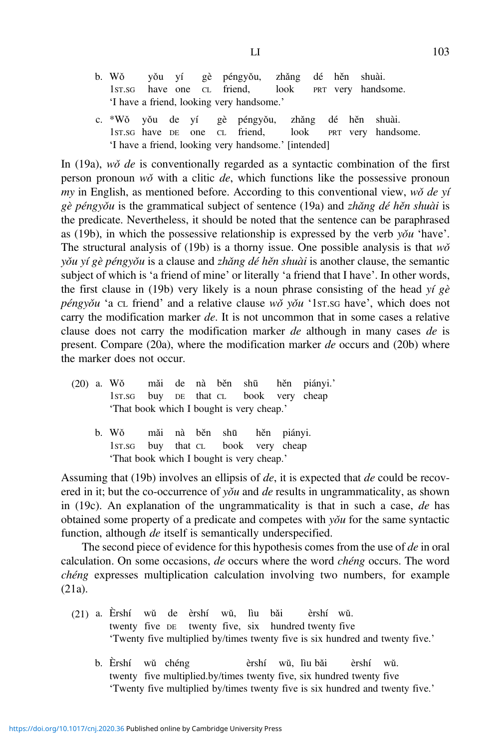- b. Wǒ yǒu yí gè péngyǒu, zhǎng dé hěn shuài. 1ST.SG have one CL friend, look PRT very handsome. 'I have a friend, looking very handsome.'
- c. \*Wǒ yǒu de yí gè péngyǒu, zhǎng dé hěn shuài. 1ST.SG have DE one CL friend, look PRT very handsome. 'I have a friend, looking very handsome.' [intended]

In  $(19a)$ , wǒ de is conventionally regarded as a syntactic combination of the first person pronoun  $w\delta$  with a clitic de, which functions like the possessive pronoun my in English, as mentioned before. According to this conventional view,  $w\delta$  de yí  $g\dot{e}$  péngyǒu is the grammatical subject of sentence (19a) and zhǎng dé hěn shuài is the predicate. Nevertheless, it should be noted that the sentence can be paraphrased as (19b), in which the possessive relationship is expressed by the verb  $y\delta u$  'have'. The structural analysis of (19b) is a thorny issue. One possible analysis is that  $w\delta$ yǒu yí gè péngyǒu is a clause and zhǎng dé hěn shuài is another clause, the semantic subject of which is 'a friend of mine' or literally 'a friend that I have'. In other words, the first clause in (19b) very likely is a noun phrase consisting of the head yí  $g\dot{\varepsilon}$ péngyǒu 'a cL friend' and a relative clause wǒ yǒu '1st.sG have', which does not carry the modification marker de. It is not uncommon that in some cases a relative clause does not carry the modification marker de although in many cases de is present. Compare (20a), where the modification marker de occurs and (20b) where the marker does not occur.

- (20) a. Wǒ mǎi de nà běn shū hěn piányi.' 1ST.SG buy DE that CL book very cheap 'That book which I bought is very cheap.'
	- b. Wǒ mǎi nà běn shū hěn piányi. 1ST.SG buy that CL book very cheap 'That book which I bought is very cheap.'

Assuming that (19b) involves an ellipsis of de, it is expected that de could be recovered in it; but the co-occurrence of  $y\delta u$  and de results in ungrammaticality, as shown in (19c). An explanation of the ungrammaticality is that in such a case, de has obtained some property of a predicate and competes with  $y\delta u$  for the same syntactic function, although *de* itself is semantically underspecified.

The second piece of evidence for this hypothesis comes from the use of de in oral calculation. On some occasions, de occurs where the word chéng occurs. The word chéng expresses multiplication calculation involving two numbers, for example (21a).

- (21) a. Èrshí wŭ de èrshí wŭ, lìu bǎi èrshí wŭ. twenty five DE twenty five, six hundred twenty five 'Twenty five multiplied by/times twenty five is six hundred and twenty five.'
	- b. Èrshí wŭ chéng èrshí wŭ, lìu bǎi èrshí wŭ. twenty five multiplied.by/times twenty five, six hundred twenty five 'Twenty five multiplied by/times twenty five is six hundred and twenty five.'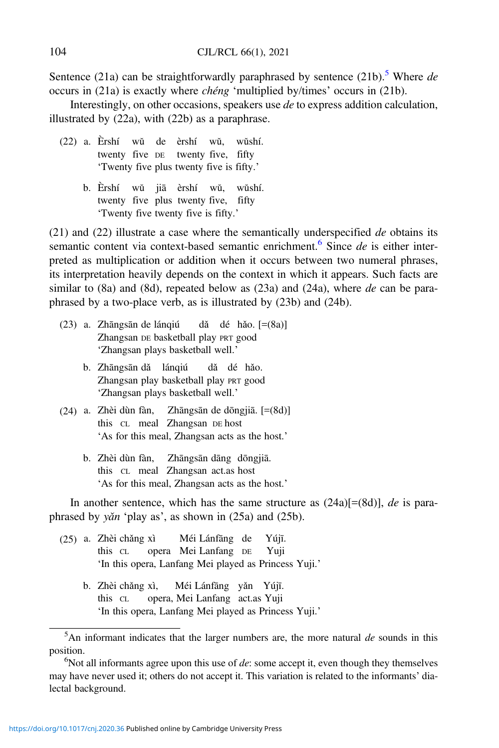Sentence (21a) can be straightforwardly paraphrased by sentence (21b).<sup>5</sup> Where de occurs in (21a) is exactly where chéng 'multiplied by/times' occurs in (21b).

Interestingly, on other occasions, speakers use de to express addition calculation, illustrated by (22a), with (22b) as a paraphrase.

- (22) a. Èrshí wŭ de èrshí wŭ, wŭshí. twenty five DE twenty five, fifty 'Twenty five plus twenty five is fifty.'
	- b. Èrshí wŭ jiā èrshí wŭ, wŭshí. twenty five plus twenty five, fifty 'Twenty five twenty five is fifty.'

 $(21)$  and  $(22)$  illustrate a case where the semantically underspecified de obtains its semantic content via context-based semantic enrichment.<sup>6</sup> Since  $de$  is either interpreted as multiplication or addition when it occurs between two numeral phrases, its interpretation heavily depends on the context in which it appears. Such facts are similar to  $(8a)$  and  $(8d)$ , repeated below as  $(23a)$  and  $(24a)$ , where de can be paraphrased by a two-place verb, as is illustrated by (23b) and (24b).

- (23) a. Zhāngsān de lánqiú dǎ dé hǎo. [=(8a)] Zhangsan DE basketball play PRT good 'Zhangsan plays basketball well.'
	- b. Zhāngsān dǎ lánqiú dǎ dé hǎo. Zhangsan play basketball play PRT good 'Zhangsan plays basketball well.'
- (24) a. Zhèi dùn fàn, Zhāngsān de dōngjiā. [=(8d)] this CL meal Zhangsan DE host 'As for this meal, Zhangsan acts as the host.'
	- b. Zhèi dùn fàn, Zhāngsān dāng dōngjiā. this CL meal Zhangsan act.as host 'As for this meal, Zhangsan acts as the host.'

In another sentence, which has the same structure as  $(24a)[=(8d)]$ , *de* is paraphrased by yǎn 'play as', as shown in (25a) and (25b).

- (25) a. Zhèi chǎng xì Méi Lánfāng de Yújı.̄ this CL opera Mei Lanfang DE Yuji 'In this opera, Lanfang Mei played as Princess Yuji.'
	- b. Zhèi chǎng xì, Méi Lánfāng yǎn Yújı.̄ this CL opera, Mei Lanfang act.as Yuji 'In this opera, Lanfang Mei played as Princess Yuji.'

 $5$ An informant indicates that the larger numbers are, the more natural de sounds in this position.

 $\alpha$ <sup>6</sup>Not all informants agree upon this use of *de*: some accept it, even though they themselves may have never used it; others do not accept it. This variation is related to the informants' dialectal background.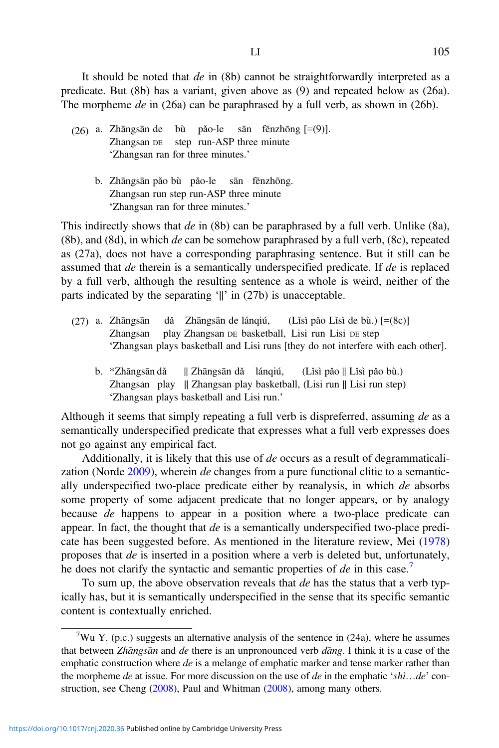It should be noted that *de* in (8b) cannot be straightforwardly interpreted as a predicate. But (8b) has a variant, given above as (9) and repeated below as (26a). The morpheme de in (26a) can be paraphrased by a full verb, as shown in (26b).

- (26) a. Zhāngsān de bù pǎo-le sān fēnzhōng  $[=(9)]$ .<br>Zhangsan be step run-ASP three minute step run-ASP three minute 'Zhangsan ran for three minutes.'
	- b. Zhāngsān pǎo bù pǎo-le sān fēnzhōng. Zhangsan run step run-ASP three minute 'Zhangsan ran for three minutes.'

This indirectly shows that  $de$  in (8b) can be paraphrased by a full verb. Unlike (8a), (8b), and (8d), in which  $de$  can be somehow paraphrased by a full verb, (8c), repeated as (27a), does not have a corresponding paraphrasing sentence. But it still can be assumed that de therein is a semantically underspecified predicate. If de is replaced by a full verb, although the resulting sentence as a whole is weird, neither of the parts indicated by the separating '||' in (27b) is unacceptable.

- (27) a. Zhāngsān dǎ Zhāngsān de lánqiú, (Lǐsì pǎo Lǐsì de bù.) [=(8c)] Zhangsan play Zhangsan DE basketball, Lisi run Lisi DE step 'Zhangsan plays basketball and Lisi runs [they do not interfere with each other].
	- b. \*Zhāngsān dǎ || Zhāngsān dǎ lánqiú, (Lǐsì pǎo || Lǐsì pǎo bù.) Zhangsan play || Zhangsan play basketball, (Lisi run || Lisi run step) 'Zhangsan plays basketball and Lisi run.'

Although it seems that simply repeating a full verb is dispreferred, assuming de as a semantically underspecified predicate that expresses what a full verb expresses does not go against any empirical fact.

Additionally, it is likely that this use of de occurs as a result of degrammaticalization (Norde [2009](#page-36-0)), wherein de changes from a pure functional clitic to a semantically underspecified two-place predicate either by reanalysis, in which de absorbs some property of some adjacent predicate that no longer appears, or by analogy because de happens to appear in a position where a two-place predicate can appear. In fact, the thought that de is a semantically underspecified two-place predicate has been suggested before. As mentioned in the literature review, Mei [\(1978](#page-36-0)) proposes that de is inserted in a position where a verb is deleted but, unfortunately, he does not clarify the syntactic and semantic properties of  $de$  in this case.<sup>7</sup>

To sum up, the above observation reveals that  $de$  has the status that a verb typically has, but it is semantically underspecified in the sense that its specific semantic content is contextually enriched.

<sup>&</sup>lt;sup>7</sup>Wu Y. (p.c.) suggests an alternative analysis of the sentence in (24a), where he assumes that between Zhāngsān and de there is an unpronounced verb dāng. I think it is a case of the emphatic construction where  $de$  is a melange of emphatic marker and tense marker rather than the morpheme de at issue. For more discussion on the use of de in the emphatic 'shì...de' construction, see Cheng ([2008\)](#page-35-0), Paul and Whitman ([2008\)](#page-36-0), among many others.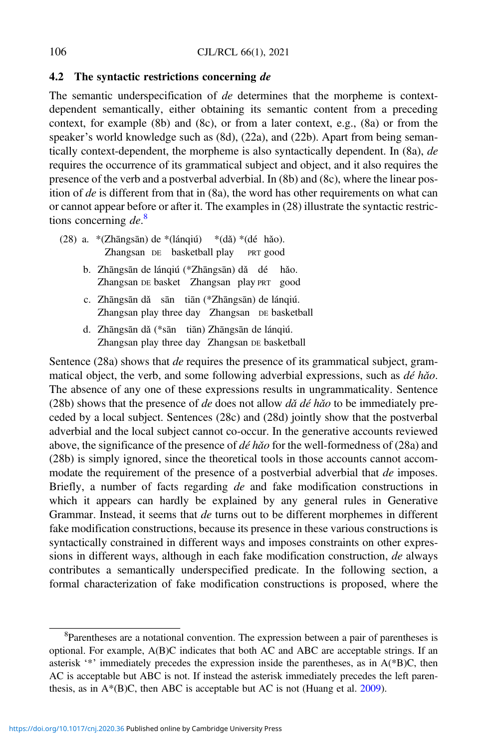#### 4.2 The syntactic restrictions concerning de

The semantic underspecification of de determines that the morpheme is contextdependent semantically, either obtaining its semantic content from a preceding context, for example (8b) and (8c), or from a later context, e.g., (8a) or from the speaker's world knowledge such as (8d), (22a), and (22b). Apart from being semantically context-dependent, the morpheme is also syntactically dependent. In (8a), de requires the occurrence of its grammatical subject and object, and it also requires the presence of the verb and a postverbal adverbial. In (8b) and (8c), where the linear position of de is different from that in (8a), the word has other requirements on what can or cannot appear before or after it. The examples in (28) illustrate the syntactic restrictions concerning de.<sup>8</sup>

- (28) a. \*(Zhāngsān) de \*(lánqiú) \*(dǎ) \*(dé hǎo). Zhangsan DE basketball play PRT good
	- b. Zhāngsān de lánqiú (\*Zhāngsān) dǎ dé hǎo. Zhangsan DE basket Zhangsan play PRT good
	- c. Zhāngsān dǎ sān tiān (\*Zhāngsān) de lánqiú. Zhangsan play three day Zhangsan DE basketball
	- d. Zhāngsān dǎ (\*sān tiān) Zhāngsān de lánqiú. Zhangsan play three day Zhangsan DE basketball

Sentence (28a) shows that *de* requires the presence of its grammatical subject, grammatical object, the verb, and some following adverbial expressions, such as  $d\acute{e}$  hǎo. The absence of any one of these expressions results in ungrammaticality. Sentence (28b) shows that the presence of de does not allow  $d\check{a}$  dé hǎo to be immediately preceded by a local subject. Sentences (28c) and (28d) jointly show that the postverbal adverbial and the local subject cannot co-occur. In the generative accounts reviewed above, the significance of the presence of  $d\acute{e}h\acute{a}o$  for the well-formedness of (28a) and (28b) is simply ignored, since the theoretical tools in those accounts cannot accommodate the requirement of the presence of a postverbial adverbial that *de* imposes. Briefly, a number of facts regarding *de* and fake modification constructions in which it appears can hardly be explained by any general rules in Generative Grammar. Instead, it seems that de turns out to be different morphemes in different fake modification constructions, because its presence in these various constructions is syntactically constrained in different ways and imposes constraints on other expressions in different ways, although in each fake modification construction, de always contributes a semantically underspecified predicate. In the following section, a formal characterization of fake modification constructions is proposed, where the

<sup>&</sup>lt;sup>8</sup>Parentheses are a notational convention. The expression between a pair of parentheses is optional. For example, A(B)C indicates that both AC and ABC are acceptable strings. If an asterisk '\*' immediately precedes the expression inside the parentheses, as in A(\*B)C, then AC is acceptable but ABC is not. If instead the asterisk immediately precedes the left parenthesis, as in  $A^*(B)C$ , then ABC is acceptable but AC is not (Huang et al. [2009\)](#page-36-0).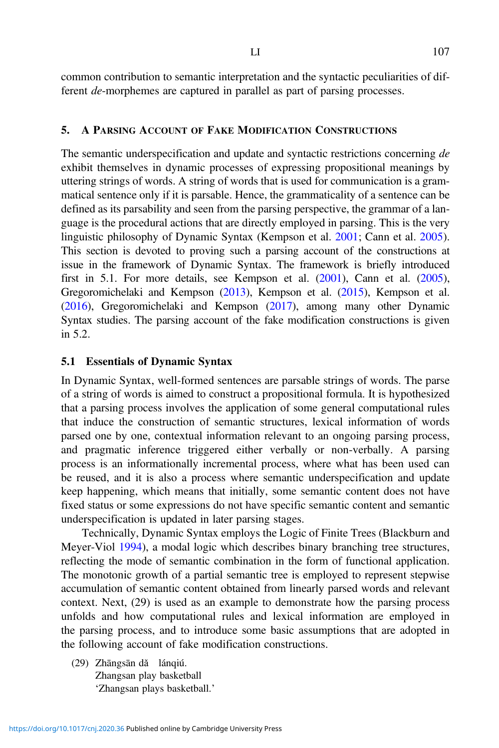common contribution to semantic interpretation and the syntactic peculiarities of different de-morphemes are captured in parallel as part of parsing processes.

#### 5. A PARSING ACCOUNT OF FAKE MODIFICATION CONSTRUCTIONS

The semantic underspecification and update and syntactic restrictions concerning de exhibit themselves in dynamic processes of expressing propositional meanings by uttering strings of words. A string of words that is used for communication is a grammatical sentence only if it is parsable. Hence, the grammaticality of a sentence can be defined as its parsability and seen from the parsing perspective, the grammar of a language is the procedural actions that are directly employed in parsing. This is the very linguistic philosophy of Dynamic Syntax (Kempson et al. [2001](#page-36-0); Cann et al. [2005\)](#page-35-0). This section is devoted to proving such a parsing account of the constructions at issue in the framework of Dynamic Syntax. The framework is briefly introduced first in 5.1. For more details, see Kempson et al. ([2001](#page-36-0)), Cann et al. [\(2005\)](#page-35-0), Gregoromichelaki and Kempson ([2013](#page-35-0)), Kempson et al. ([2015](#page-36-0)), Kempson et al. ([2016](#page-36-0)), Gregoromichelaki and Kempson ([2017](#page-35-0)), among many other Dynamic Syntax studies. The parsing account of the fake modification constructions is given in 5.2.

### 5.1 Essentials of Dynamic Syntax

In Dynamic Syntax, well-formed sentences are parsable strings of words. The parse of a string of words is aimed to construct a propositional formula. It is hypothesized that a parsing process involves the application of some general computational rules that induce the construction of semantic structures, lexical information of words parsed one by one, contextual information relevant to an ongoing parsing process, and pragmatic inference triggered either verbally or non-verbally. A parsing process is an informationally incremental process, where what has been used can be reused, and it is also a process where semantic underspecification and update keep happening, which means that initially, some semantic content does not have fixed status or some expressions do not have specific semantic content and semantic underspecification is updated in later parsing stages.

Technically, Dynamic Syntax employs the Logic of Finite Trees (Blackburn and Meyer-Viol [1994\)](#page-35-0), a modal logic which describes binary branching tree structures, reflecting the mode of semantic combination in the form of functional application. The monotonic growth of a partial semantic tree is employed to represent stepwise accumulation of semantic content obtained from linearly parsed words and relevant context. Next, (29) is used as an example to demonstrate how the parsing process unfolds and how computational rules and lexical information are employed in the parsing process, and to introduce some basic assumptions that are adopted in the following account of fake modification constructions.

(29) Zhāngsān dǎ lánqiú. Zhangsan play basketball 'Zhangsan plays basketball.'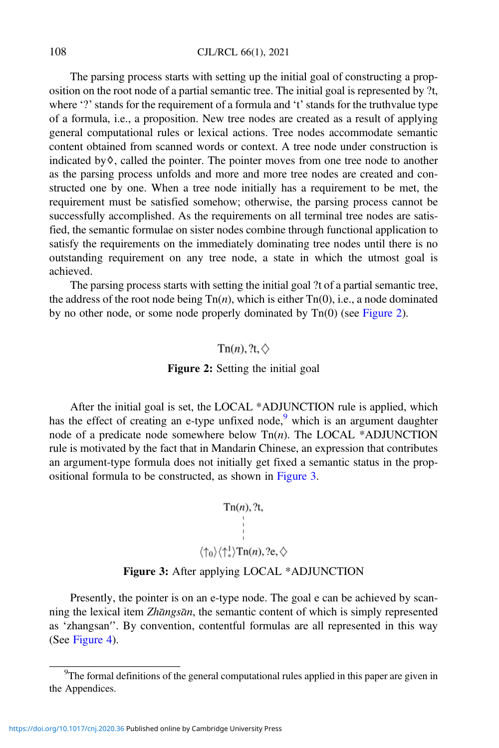108 CJL/RCL 66(1), 2021

The parsing process starts with setting up the initial goal of constructing a proposition on the root node of a partial semantic tree. The initial goal is represented by ?t, where '?' stands for the requirement of a formula and 't' stands for the truthvalue type of a formula, i.e., a proposition. New tree nodes are created as a result of applying general computational rules or lexical actions. Tree nodes accommodate semantic content obtained from scanned words or context. A tree node under construction is indicated by♢, called the pointer. The pointer moves from one tree node to another as the parsing process unfolds and more and more tree nodes are created and constructed one by one. When a tree node initially has a requirement to be met, the requirement must be satisfied somehow; otherwise, the parsing process cannot be successfully accomplished. As the requirements on all terminal tree nodes are satisfied, the semantic formulae on sister nodes combine through functional application to satisfy the requirements on the immediately dominating tree nodes until there is no outstanding requirement on any tree node, a state in which the utmost goal is achieved.

The parsing process starts with setting the initial goal ?t of a partial semantic tree, the address of the root node being  $\text{Tr}(n)$ , which is either  $\text{Tr}(0)$ , i.e., a node dominated by no other node, or some node properly dominated by Tn(0) (see Figure 2).

## $\text{Tr}(n)$ , ?t,  $\diamond$

#### Figure 2: Setting the initial goal

After the initial goal is set, the LOCAL \*ADJUNCTION rule is applied, which has the effect of creating an e-type unfixed node, $9$  which is an argument daughter node of a predicate node somewhere below  $Tn(n)$ . The LOCAL \*ADJUNCTION rule is motivated by the fact that in Mandarin Chinese, an expression that contributes an argument-type formula does not initially get fixed a semantic status in the propositional formula to be constructed, as shown in Figure 3.

$$
\text{Tr}(n), ?t,
$$
\n
$$
\downarrow
$$
\n
$$
\langle \uparrow_0 \rangle \langle \uparrow^1_+ \rangle \text{Tr}(n), ?e, \diamondsuit
$$

## Figure 3: After applying LOCAL \*ADJUNCTION

Presently, the pointer is on an e-type node. The goal e can be achieved by scanning the lexical item Zhāngsān, the semantic content of which is simply represented as 'zhangsan′'. By convention, contentful formulas are all represented in this way (See [Figure 4\)](#page-18-0).

<sup>&</sup>lt;sup>9</sup>The formal definitions of the general computational rules applied in this paper are given in the Appendices.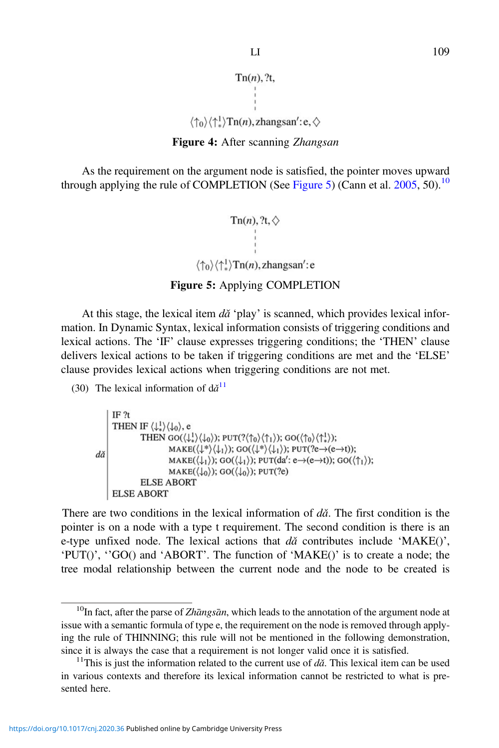```
Tn(n), ?t,
```

$$
\langle \uparrow_0 \rangle \langle \uparrow_*^1 \rangle \text{Tn}(n), \text{zhangsan}' : e, \diamondsuit
$$

## Figure 4: After scanning Zhangsan

<span id="page-18-0"></span>As the requirement on the argument node is satisfied, the pointer moves upward through applying the rule of COMPLETION (See Figure 5) (Cann et al.  $2005$ , 50).<sup>10</sup>

> $\text{Tr}(n)$ , ?t,  $\diamondsuit$  $\langle \uparrow_0 \rangle \langle \uparrow_*^1 \rangle$ Tn(*n*), zhangsan': e

Figure 5: Applying COMPLETION

At this stage, the lexical item  $d\check{a}$  'play' is scanned, which provides lexical information. In Dynamic Syntax, lexical information consists of triggering conditions and lexical actions. The 'IF' clause expresses triggering conditions; the 'THEN' clause delivers lexical actions to be taken if triggering conditions are met and the 'ELSE' clause provides lexical actions when triggering conditions are not met.

(30) The lexical information of  $d\check{a}^{11}$ 

```
IF<sub>2t</sub>THEN IF \langle \downarrow_1^1 \rangle \langle \downarrow_0 \rangle, e
                                  THEN GO(\langle \downarrow_*^1 \rangle \langle \downarrow_0 \rangle); PUT(?\langle \uparrow_0 \rangle \langle \uparrow_1 \rangle); GO(\langle \uparrow_0 \rangle \langle \uparrow_*^1 \rangle);
                                                        \text{MAKE}(\langle \downarrow^* \rangle \langle \downarrow_1 \rangle); \text{GO}(\langle \downarrow^* \rangle \langle \downarrow_1 \rangle); \text{PUT}(?e \rightarrow (e \rightarrow t));dă
                                                        \text{MAKE}(\langle \downarrow_1 \rangle); GO(\langle \downarrow_1 \rangle); PUT(da': e\rightarrow(e\rightarrowt)); GO(\langle \uparrow_1 \rangle);
                                                        \text{MAKE}(\langle \downarrow_0 \rangle); GO(\langle \downarrow_0 \rangle); PUT(?e)
                                  ELSE ABORT
            ELSE ABORT
```
There are two conditions in the lexical information of  $d\check{a}$ . The first condition is the pointer is on a node with a type t requirement. The second condition is there is an e-type unfixed node. The lexical actions that  $d\tilde{a}$  contributes include 'MAKE()', 'PUT()', ''GO() and 'ABORT'. The function of 'MAKE()' is to create a node; the tree modal relationship between the current node and the node to be created is

 $10$ In fact, after the parse of Zhāngsān, which leads to the annotation of the argument node at issue with a semantic formula of type e, the requirement on the node is removed through applying the rule of THINNING; this rule will not be mentioned in the following demonstration, since it is always the case that a requirement is not longer valid once it is satisfied.  $11$ This is just the information related to the current use of  $d\check{a}$ . This lexical item can be used

in various contexts and therefore its lexical information cannot be restricted to what is presented here.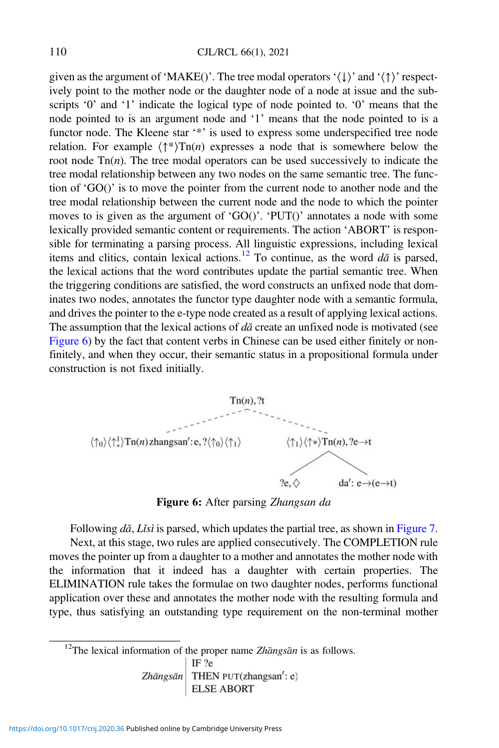given as the argument of 'MAKE()'. The tree modal operators ' $\langle \downarrow \rangle$ ' and ' $\langle \uparrow \rangle$ ' respectively point to the mother node or the daughter node of a node at issue and the subscripts '0' and '1' indicate the logical type of node pointed to. '0' means that the node pointed to is an argument node and '1' means that the node pointed to is a functor node. The Kleene star '\*' is used to express some underspecified tree node relation. For example  $\langle \uparrow^* \rangle$ Tn(*n*) expresses a node that is somewhere below the root node  $\text{Tr}(n)$ . The tree modal operators can be used successively to indicate the tree modal relationship between any two nodes on the same semantic tree. The function of 'GO()' is to move the pointer from the current node to another node and the tree modal relationship between the current node and the node to which the pointer moves to is given as the argument of 'GO()'. 'PUT()' annotates a node with some lexically provided semantic content or requirements. The action 'ABORT' is responsible for terminating a parsing process. All linguistic expressions, including lexical items and clitics, contain lexical actions.<sup>12</sup> To continue, as the word  $d\check{a}$  is parsed, the lexical actions that the word contributes update the partial semantic tree. When the triggering conditions are satisfied, the word constructs an unfixed node that dominates two nodes, annotates the functor type daughter node with a semantic formula, and drives the pointer to the e-type node created as a result of applying lexical actions. The assumption that the lexical actions of  $d\check{a}$  create an unfixed node is motivated (see Figure 6) by the fact that content verbs in Chinese can be used either finitely or nonfinitely, and when they occur, their semantic status in a propositional formula under construction is not fixed initially.



Figure 6: After parsing Zhangsan da

Following  $d\check{a}$ , Lisì is parsed, which updates the partial tree, as shown in [Figure 7.](#page-20-0)

Next, at this stage, two rules are applied consecutively. The COMPLETION rule moves the pointer up from a daughter to a mother and annotates the mother node with the information that it indeed has a daughter with certain properties. The ELIMINATION rule takes the formulae on two daughter nodes, performs functional application over these and annotates the mother node with the resulting formula and type, thus satisfying an outstanding type requirement on the non-terminal mother

<sup>12</sup>The lexical information of the proper name *Zhāngsān* is as follows.<br> $\frac{1 \text{ F} \cdot \text{F}}{1 \text{ F} \cdot \text{F}}$ 

Zhāngsān THEN PUT(zhangsan': e) **ELSE ABORT**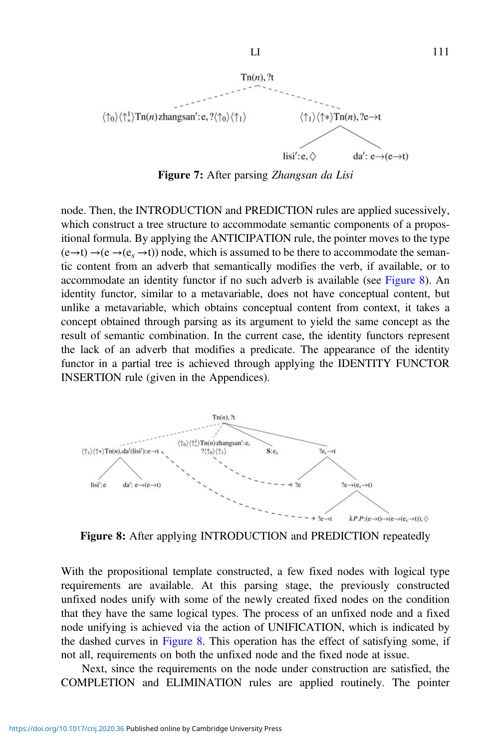<span id="page-20-0"></span>

Figure 7: After parsing Zhangsan da Lisi

node. Then, the INTRODUCTION and PREDICTION rules are applied sucessively, which construct a tree structure to accommodate semantic components of a propositional formula. By applying the ANTICIPATION rule, the pointer moves to the type  $(e \rightarrow t) \rightarrow (e \rightarrow (e, \rightarrow t))$  node, which is assumed to be there to accommodate the semantic content from an adverb that semantically modifies the verb, if available, or to accommodate an identity functor if no such adverb is available (see Figure 8). An identity functor, similar to a metavariable, does not have conceptual content, but unlike a metavariable, which obtains conceptual content from context, it takes a concept obtained through parsing as its argument to yield the same concept as the result of semantic combination. In the current case, the identity functors represent the lack of an adverb that modifies a predicate. The appearance of the identity functor in a partial tree is achieved through applying the IDENTITY FUNCTOR INSERTION rule (given in the Appendices).



Figure 8: After applying INTRODUCTION and PREDICTION repeatedly

With the propositional template constructed, a few fixed nodes with logical type requirements are available. At this parsing stage, the previously constructed unfixed nodes unify with some of the newly created fixed nodes on the condition that they have the same logical types. The process of an unfixed node and a fixed node unifying is achieved via the action of UNIFICATION, which is indicated by the dashed curves in Figure 8. This operation has the effect of satisfying some, if not all, requirements on both the unfixed node and the fixed node at issue.

Next, since the requirements on the node under construction are satisfied, the COMPLETION and ELIMINATION rules are applied routinely. The pointer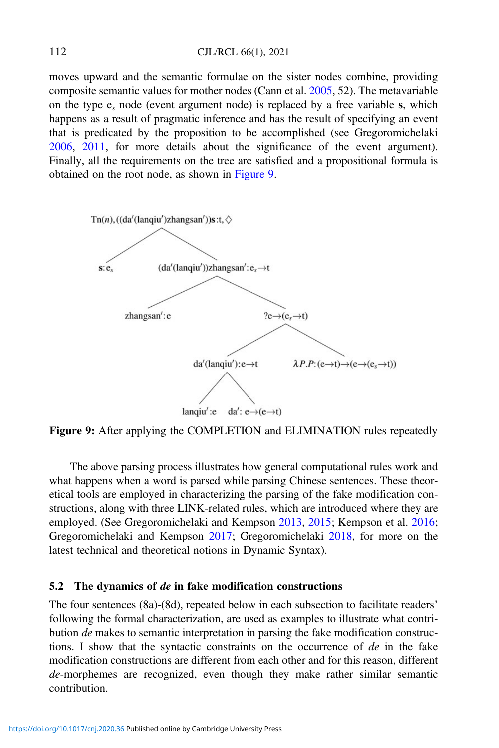moves upward and the semantic formulae on the sister nodes combine, providing composite semantic values for mother nodes (Cann et al. [2005,](#page-35-0) 52). The metavariable on the type  $e_s$  node (event argument node) is replaced by a free variable s, which happens as a result of pragmatic inference and has the result of specifying an event that is predicated by the proposition to be accomplished (see Gregoromichelaki [2006,](#page-35-0) [2011](#page-35-0), for more details about the significance of the event argument). Finally, all the requirements on the tree are satisfied and a propositional formula is obtained on the root node, as shown in Figure 9.



Figure 9: After applying the COMPLETION and ELIMINATION rules repeatedly

The above parsing process illustrates how general computational rules work and what happens when a word is parsed while parsing Chinese sentences. These theoretical tools are employed in characterizing the parsing of the fake modification constructions, along with three LINK-related rules, which are introduced where they are employed. (See Gregoromichelaki and Kempson [2013,](#page-35-0) [2015](#page-35-0); Kempson et al. [2016](#page-36-0); Gregoromichelaki and Kempson [2017](#page-35-0); Gregoromichelaki [2018](#page-35-0), for more on the latest technical and theoretical notions in Dynamic Syntax).

#### 5.2 The dynamics of de in fake modification constructions

The four sentences (8a)-(8d), repeated below in each subsection to facilitate readers' following the formal characterization, are used as examples to illustrate what contribution de makes to semantic interpretation in parsing the fake modification constructions. I show that the syntactic constraints on the occurrence of  $de$  in the fake modification constructions are different from each other and for this reason, different de-morphemes are recognized, even though they make rather similar semantic contribution.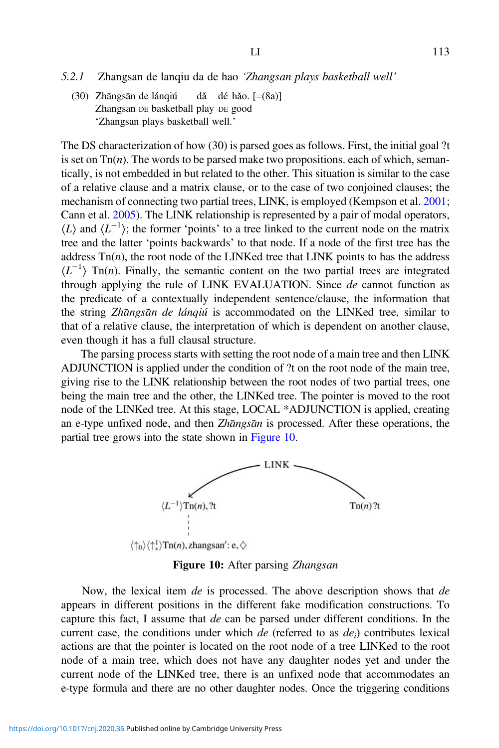(30) Zhāngsān de lánqiú dǎ dé hǎo. [=(8a)] Zhangsan DE basketball play DE good 'Zhangsan plays basketball well.'

The DS characterization of how (30) is parsed goes as follows. First, the initial goal ?t is set on  $\text{Tr}(n)$ . The words to be parsed make two propositions. each of which, semantically, is not embedded in but related to the other. This situation is similar to the case of a relative clause and a matrix clause, or to the case of two conjoined clauses; the mechanism of connecting two partial trees, LINK, is employed (Kempson et al. [2001;](#page-36-0) Cann et al. [2005](#page-35-0)). The LINK relationship is represented by a pair of modal operators,  $\langle L \rangle$  and  $\langle L^{-1} \rangle$ ; the former 'points' to a tree linked to the current node on the matrix tree and the latter 'points backwards' to that node. If a node of the first tree has the address  $\text{Tr}(n)$ , the root node of the LINKed tree that LINK points to has the address  $\langle L^{-1} \rangle$  Tn(n). Finally, the semantic content on the two partial trees are integrated through applying the rule of LINK EVALUATION. Since de cannot function as the predicate of a contextually independent sentence/clause, the information that the string Zhangsan de lánqiú is accommodated on the LINKed tree, similar to that of a relative clause, the interpretation of which is dependent on another clause, even though it has a full clausal structure.

The parsing process starts with setting the root node of a main tree and then LINK ADJUNCTION is applied under the condition of ?t on the root node of the main tree, giving rise to the LINK relationship between the root nodes of two partial trees, one being the main tree and the other, the LINKed tree. The pointer is moved to the root node of the LINKed tree. At this stage, LOCAL \*ADJUNCTION is applied, creating an e-type unfixed node, and then Zhangsan is processed. After these operations, the partial tree grows into the state shown in Figure 10.



Figure 10: After parsing Zhangsan

Now, the lexical item de is processed. The above description shows that de appears in different positions in the different fake modification constructions. To capture this fact, I assume that de can be parsed under different conditions. In the current case, the conditions under which de (referred to as  $de_i$ ) contributes lexical actions are that the pointer is located on the root node of a tree LINKed to the root node of a main tree, which does not have any daughter nodes yet and under the current node of the LINKed tree, there is an unfixed node that accommodates an e-type formula and there are no other daughter nodes. Once the triggering conditions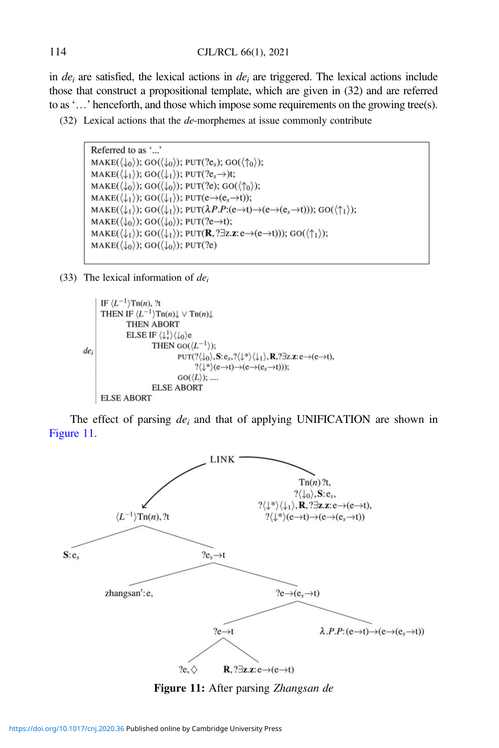in  $de<sub>i</sub>$  are satisfied, the lexical actions in de<sub>i</sub> are triggered. The lexical actions include those that construct a propositional template, which are given in (32) and are referred to as '…' henceforth, and those which impose some requirements on the growing tree(s).

```
(32) Lexical actions that the de-morphemes at issue commonly contribute
```

```
Referred to as '...'
MAKE(\langle \downarrow_0 \rangle); GO(\langle \downarrow_0 \rangle); PUT(?e<sub>s</sub>); GO(\langle \uparrow_0 \rangle);
MAKE((\downarrow_1)); GO((\downarrow_1)); PUT(?e<sub>s</sub>\rightarrow)t;
MAKE(\langle \downarrow_0 \rangle); GO(\langle \downarrow_0 \rangle); PUT(?e); GO(\langle \uparrow_0 \rangle);
MAKE(\langle \downarrow_1 \rangle); GO(\langle \downarrow_1 \rangle); PUT(e\rightarrow(e<sub>s</sub>\rightarrowt));
MAKE(\langle \downarrow_1 \rangle); GO(\langle \downarrow_1 \rangle); PUT(\lambda P \cdot (e \rightarrow t) \rightarrow (e \rightarrow (e_s \rightarrow t))); GO(\langle \uparrow_1 \rangle);
MAKE(\langle \downarrow_0 \rangle); GO(\langle \downarrow_0 \rangle); PUT(?e->t);
MAKE(\langle \downarrow_1 \rangle); GO(\langle \downarrow_1 \rangle); PUT(R, ?\exists z. z : e \rightarrow (e \rightarrow t))); GO(\langle \uparrow_1 \rangle);
\text{MAKE}(\langle \downarrow_0 \rangle); GO(\langle \downarrow_0 \rangle); PUT(?e)
```
(33) The lexical information of  $de_i$ 

```
IF \langle L^{-1} \rangleTn(n), ?t
             THEN IF \langle L^{-1} \rangle \text{Tr}(n) \downarrow \vee \text{Tr}(n) \downarrowTHEN ABORT
                                  ELSE IF \langle \downarrow_+^1 \rangle \langle \downarrow_0 \ranglee
                                                      THEN GO(\langle L^{-1} \rangle);
de
                                                                            \textsc{put}(?\langle \downarrow_0 \rangle, \mathbf{S} ; \mathbf{e}_s, ?\langle \downarrow^* \rangle \langle \downarrow_1 \rangle, \mathbf{R}, ? \exists z. \mathbf{z} : \mathbf{e} \mathbin{\rightarrow} (\mathbf{e} \mathbin{\rightarrow} \mathbf{t}),? \langle \downarrow^* \rangle (e \rightarrow t) \rightarrow (e \rightarrow (e_s \rightarrow t)));GO(\langle L \rangle); ....
                                                      ELSE ABORT
             ELSE ABORT
```
The effect of parsing  $de_i$  and that of applying UNIFICATION are shown in Figure 11.



Figure 11: After parsing Zhangsan de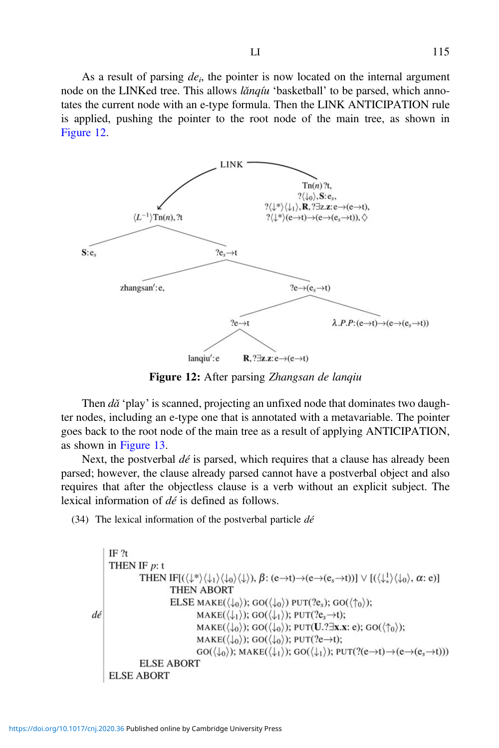As a result of parsing  $de_i$ , the pointer is now located on the internal argument node on the LINKed tree. This allows *lǎnqíu* 'basketball' to be parsed, which annotates the current node with an e-type formula. Then the LINK ANTICIPATION rule is applied, pushing the pointer to the root node of the main tree, as shown in Figure 12.



Figure 12: After parsing Zhangsan de lanqiu

Then  $d\check{a}$  'play' is scanned, projecting an unfixed node that dominates two daughter nodes, including an e-type one that is annotated with a metavariable. The pointer goes back to the root node of the main tree as a result of applying ANTICIPATION, as shown in [Figure 13.](#page-25-0)

Next, the postverbal  $d\acute{e}$  is parsed, which requires that a clause has already been parsed; however, the clause already parsed cannot have a postverbal object and also requires that after the objectless clause is a verb without an explicit subject. The lexical information of dé is defined as follows.

(34) The lexical information of the postverbal particle  $d\acute{e}$ 

```
IF<sub>2t</sub>THEN IF p: t
                           THEN IF[(\langle \downarrow^*\rangle \langle \downarrow_1 \rangle \langle \downarrow_0 \rangle \langle \downarrow \rangle), \beta: (e->t)->(e->(e<sub>s</sub>->t))] \vee [(\langle \downarrow^1_* \rangle \langle \downarrow_0 \rangle, \alpha: e)]
                                             THEN ABORT
                                             ELSE MAKE(\langle \downarrow_0 \rangle); GO(\langle \downarrow_0 \rangle) PUT(?e<sub>s</sub>); GO(\langle \uparrow_0 \rangle);
dé
                                                            MAKE((\downarrow_1)); GO((\downarrow_1)); PUT(?e<sub>s</sub>\rightarrowt);
                                                            MAKE(\langle \downarrow_0 \rangle); GO(\langle \downarrow_0 \rangle); PUT(U.?\existsx.x: e); GO(\langle \uparrow_0 \rangle);
                                                            \text{MAKE}(\langle \downarrow_0 \rangle); GO(\langle \downarrow_0 \rangle); PUT(?e->t);
                                                            GO(\langle \downarrow_0 \rangle); MAKE(\langle \downarrow_1 \rangle); GO(\langle \downarrow_1 \rangle); PUT(?(e\rightarrowt)\rightarrow(e\rightarrow(e<sub>s</sub>\rightarrowt)))
                           ELSE ABORT
          ELSE ABORT
```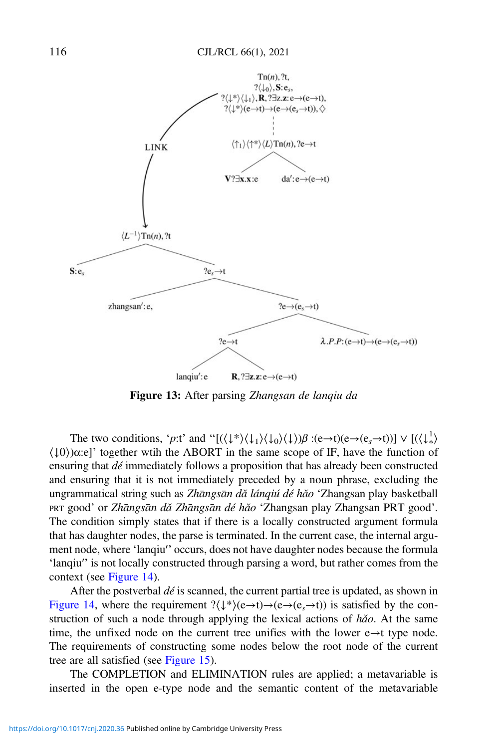<span id="page-25-0"></span>

Figure 13: After parsing Zhangsan de lanqiu da

The two conditions, '*p*:t' and " $[(\langle \downarrow^* \rangle \langle \downarrow_1 \rangle \langle \downarrow_0 \rangle \langle \downarrow \rangle) \beta : (e \rightarrow t)(e \rightarrow (e_s \rightarrow t))] \vee [(\langle \downarrow^1_* \rangle \langle \downarrow_0 \rangle \langle \downarrow \rangle \langle \downarrow \rangle \langle \downarrow_0 \rangle \langle \downarrow \rangle)]$  $(10)$ ) $\alpha$ :e]' together wtih the ABORT in the same scope of IF, have the function of ensuring that dé immediately follows a proposition that has already been constructed and ensuring that it is not immediately preceded by a noun phrase, excluding the ungrammatical string such as Zhāngsān dǎ lánqiú dé hǎo 'Zhangsan play basketball PRT good' or Zhāngsān dǎ Zhāngsān dé hǎo 'Zhangsan play Zhangsan PRT good'. The condition simply states that if there is a locally constructed argument formula that has daughter nodes, the parse is terminated. In the current case, the internal argument node, where 'lanqiu′' occurs, does not have daughter nodes because the formula 'lanqiu′' is not locally constructed through parsing a word, but rather comes from the context (see [Figure 14](#page-26-0)).

After the postverbal  $d\acute{e}$  is scanned, the current partial tree is updated, as shown in [Figure 14,](#page-26-0) where the requirement  $?(\downarrow^*)$  $(e \rightarrow t) \rightarrow (e \rightarrow (e_s \rightarrow t))$  is satisfied by the construction of such a node through applying the lexical actions of  $h\check{a}o$ . At the same time, the unfixed node on the current tree unifies with the lower  $e \rightarrow t$  type node. The requirements of constructing some nodes below the root node of the current tree are all satisfied (see [Figure 15\)](#page-26-0).

The COMPLETION and ELIMINATION rules are applied; a metavariable is inserted in the open e-type node and the semantic content of the metavariable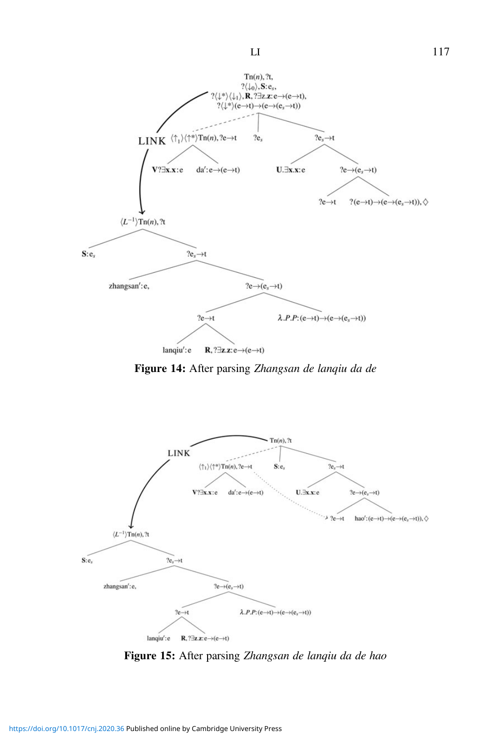<span id="page-26-0"></span>

Figure 14: After parsing Zhangsan de lanqiu da de



Figure 15: After parsing Zhangsan de lanqiu da de hao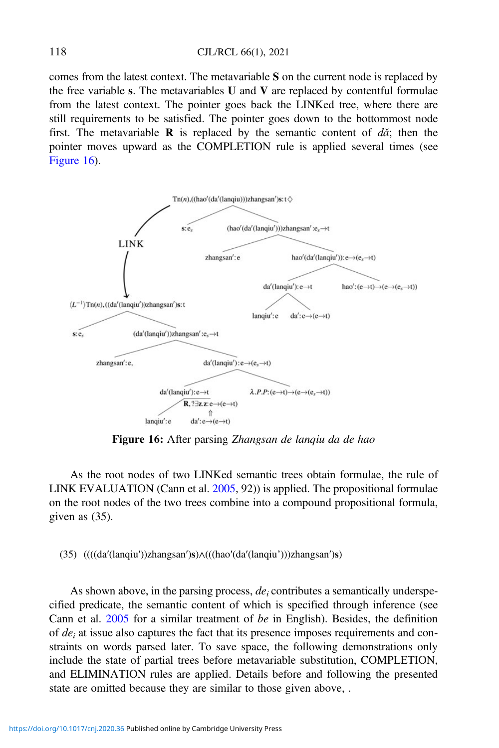comes from the latest context. The metavariable S on the current node is replaced by the free variable s. The metavariables  $U$  and  $V$  are replaced by contentful formulae from the latest context. The pointer goes back the LINKed tree, where there are still requirements to be satisfied. The pointer goes down to the bottommost node first. The metavariable **R** is replaced by the semantic content of  $d\tilde{a}$ ; then the pointer moves upward as the COMPLETION rule is applied several times (see Figure 16).



Figure 16: After parsing Zhangsan de lanqiu da de hao

As the root nodes of two LINKed semantic trees obtain formulae, the rule of LINK EVALUATION (Cann et al. [2005](#page-35-0), 92)) is applied. The propositional formulae on the root nodes of the two trees combine into a compound propositional formula, given as (35).

(35) ((((da′(lanqiu′))zhangsan′)s)∧(((hao′(da′(lanqiu')))zhangsan′)s)

As shown above, in the parsing process,  $de_i$  contributes a semantically underspecified predicate, the semantic content of which is specified through inference (see Cann et al. [2005](#page-35-0) for a similar treatment of be in English). Besides, the definition of  $de_i$  at issue also captures the fact that its presence imposes requirements and constraints on words parsed later. To save space, the following demonstrations only include the state of partial trees before metavariable substitution, COMPLETION, and ELIMINATION rules are applied. Details before and following the presented state are omitted because they are similar to those given above, .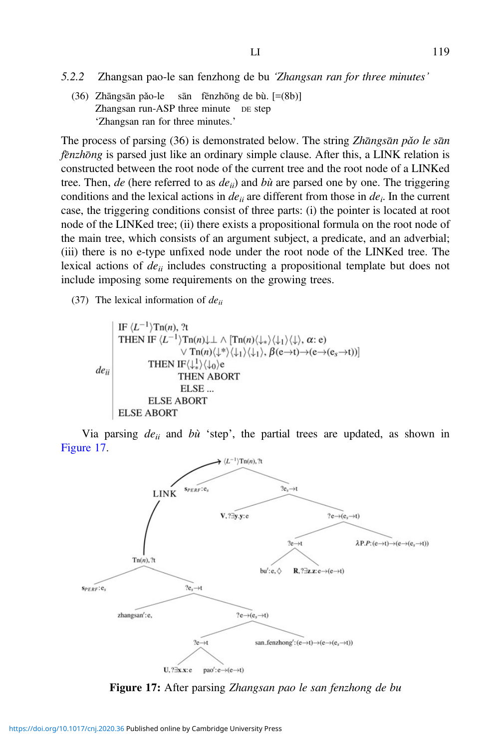- 5.2.2 Zhangsan pao-le san fenzhong de bu 'Zhangsan ran for three minutes'
	- $(36)$  Zhāngsān pǎo-le sān fēnzhōng de bù.  $[=(8b)]$ Zhangsan run-ASP three minute DE step 'Zhangsan ran for three minutes.'

The process of parsing  $(36)$  is demonstrated below. The string Zhangsan pǎo le san fenzhong is parsed just like an ordinary simple clause. After this, a LINK relation is constructed between the root node of the current tree and the root node of a LINKed tree. Then, de (here referred to as  $de_{ii}$ ) and bù are parsed one by one. The triggering conditions and the lexical actions in  $de_{ii}$  are different from those in  $de_i$ . In the current case, the triggering conditions consist of three parts: (i) the pointer is located at root node of the LINKed tree; (ii) there exists a propositional formula on the root node of the main tree, which consists of an argument subject, a predicate, and an adverbial; (iii) there is no e-type unfixed node under the root node of the LINKed tree. The lexical actions of  $de_{ii}$  includes constructing a propositional template but does not include imposing some requirements on the growing trees.

(37) The lexical information of  $deii$ 

IF  $\langle L^{-1} \rangle$ Tn(n), ?t THEN IF  $\langle L^{-1} \rangle \text{Tr}(n) \downarrow \perp \wedge [\text{Tr}(n) \langle \downarrow_* \rangle \langle \downarrow_1 \rangle \langle \downarrow \rangle, \alpha$ : e)  $\lor$  Tn(n) $\langle \downarrow^* \rangle \langle \downarrow_1 \rangle \langle \downarrow_1 \rangle$ ,  $\beta$ (e $\rightarrow$ t) $\rightarrow$ (e $\rightarrow$ (e<sub>s</sub> $\rightarrow$ t))] THEN IF $\langle \downarrow_+^1 \rangle \langle \downarrow_0 \rangle$ e  $de_{ii}$ **THEN ABORT** ELSE... **ELSE ABORT ELSE ABORT** 

Via parsing  $de_{ii}$  and  $b\hat{u}$  'step', the partial trees are updated, as shown in Figure 17.



**Figure 17:** After parsing *Zhangsan pao le san fenzhong de bu*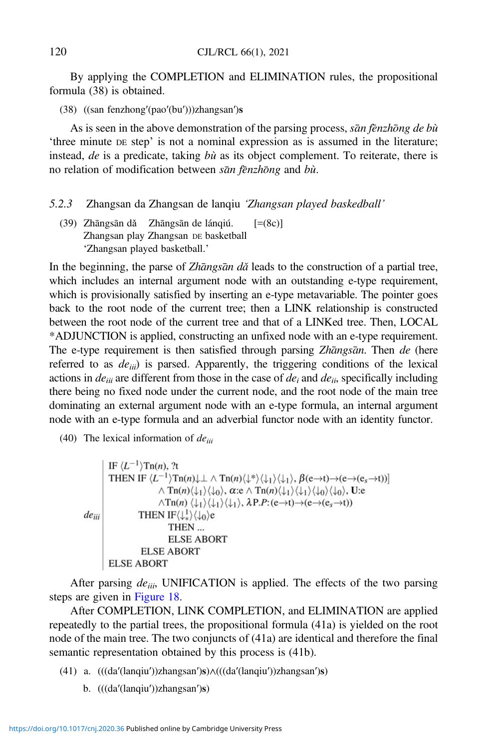By applying the COMPLETION and ELIMINATION rules, the propositional formula (38) is obtained.

(38) ((san fenzhong′(pao′(bu′)))zhangsan′)s

As is seen in the above demonstration of the parsing process, san fenzhong de bù 'three minute DE step' is not a nominal expression as is assumed in the literature; instead, de is a predicate, taking bù as its object complement. To reiterate, there is no relation of modification between san fenzhong and bù.

#### 5.2.3 Zhangsan da Zhangsan de lanqiu 'Zhangsan played baskedball'

(39) Zhāngsān dǎ Zhāngsān de lánqiú.  $[=(8c)]$ Zhangsan play Zhangsan DE basketball 'Zhangsan played basketball.'

In the beginning, the parse of Zhangsan da leads to the construction of a partial tree, which includes an internal argument node with an outstanding e-type requirement, which is provisionally satisfied by inserting an e-type metavariable. The pointer goes back to the root node of the current tree; then a LINK relationship is constructed between the root node of the current tree and that of a LINKed tree. Then, LOCAL \*ADJUNCTION is applied, constructing an unfixed node with an e-type requirement. The e-type requirement is then satisfied through parsing Zhangsan. Then de (here referred to as  $de_{iii}$ ) is parsed. Apparently, the triggering conditions of the lexical actions in  $de_{iii}$  are different from those in the case of  $de_i$  and  $de_{ii}$ , specifically including there being no fixed node under the current node, and the root node of the main tree dominating an external argument node with an e-type formula, an internal argument node with an e-type formula and an adverbial functor node with an identity functor.

(40) The lexical information of  $de_{iii}$ 

```
IF \langle L^{-1} \rangleTn(n), ?t
                 THEN IF \langle L^{-1} \rangle \text{Tr}(n) \downarrow \bot \wedge \text{Tr}(n) \langle \downarrow^* \rangle \langle \downarrow_1 \rangle \langle \downarrow_1 \rangle, \beta(e \rightarrow t) \rightarrow (e \rightarrow (e_s \rightarrow t))]\wedge Tn(n)\langle \downarrow_1 \rangle \langle \downarrow_0 \rangle, \alpha:e \wedge Tn(n)\langle \downarrow_1 \rangle \langle \downarrow_1 \rangle \langle \downarrow_0 \rangle \langle \downarrow_0 \rangle, U:e
                                                     \wedge \text{Tr}(n) \langle \downarrow_1 \rangle \langle \downarrow_1 \rangle, \lambda P.P:(e \rightarrow t) \rightarrow (e \rightarrow (e_s \rightarrow t))de_{ii}THEN IF\langle \downarrow_{*}^{1} \rangle \langle \downarrow_{0} \ranglee
                                                           THEN ...
                                                            ELSE ABORT
                                        ELSE ABORT
                 ELSE ABORT
```
After parsing  $de_{iii}$ , UNIFICATION is applied. The effects of the two parsing steps are given in [Figure 18.](#page-30-0)

After COMPLETION, LINK COMPLETION, and ELIMINATION are applied repeatedly to the partial trees, the propositional formula (41a) is yielded on the root node of the main tree. The two conjuncts of (41a) are identical and therefore the final semantic representation obtained by this process is (41b).

- (41) a. (((da′(lanqiu′))zhangsan′)s)∧(((da′(lanqiu′))zhangsan′)s)
	- b. (((da′(lanqiu′))zhangsan′)s)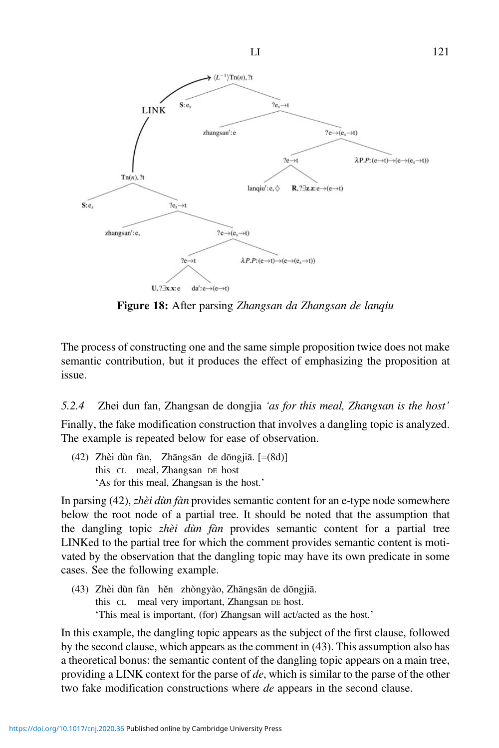<span id="page-30-0"></span>

 $LI$  121

Figure 18: After parsing Zhangsan da Zhangsan de lanqiu

The process of constructing one and the same simple proposition twice does not make semantic contribution, but it produces the effect of emphasizing the proposition at issue.

5.2.4 Zhei dun fan, Zhangsan de dongjia 'as for this meal, Zhangsan is the host' Finally, the fake modification construction that involves a dangling topic is analyzed. The example is repeated below for ease of observation.

(42) Zhèi dùn fàn, Zhāngsān de dōngjiā. [=(8d)] this CL meal, Zhangsan DE host 'As for this meal, Zhangsan is the host.'

In parsing (42), zhèi dùn fàn provides semantic content for an e-type node somewhere below the root node of a partial tree. It should be noted that the assumption that the dangling topic zhèi dùn fàn provides semantic content for a partial tree LINKed to the partial tree for which the comment provides semantic content is motivated by the observation that the dangling topic may have its own predicate in some cases. See the following example.

(43) Zhèi dùn fàn hěn zhòngyào, Zhāngsān de dōngjiā. this CL meal very important, Zhangsan DE host. 'This meal is important, (for) Zhangsan will act/acted as the host.'

In this example, the dangling topic appears as the subject of the first clause, followed by the second clause, which appears as the comment in (43). This assumption also has a theoretical bonus: the semantic content of the dangling topic appears on a main tree, providing a LINK context for the parse of de, which is similar to the parse of the other two fake modification constructions where *de* appears in the second clause.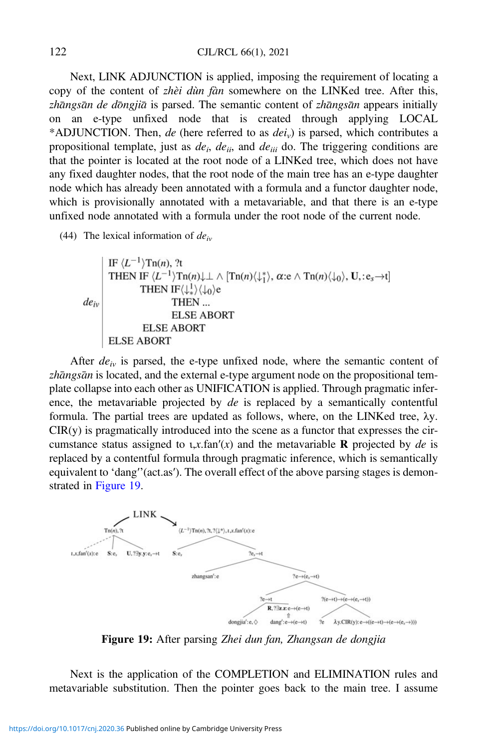Next, LINK ADJUNCTION is applied, imposing the requirement of locating a copy of the content of zhèi dùn fàn somewhere on the LINKed tree. After this, zhāngsān de dōngjiā is parsed. The semantic content of zhāngsān appears initially on an e-type unfixed node that is created through applying LOCAL \*ADJUNCTION. Then, de (here referred to as  $dei<sub>v</sub>$ ) is parsed, which contributes a propositional template, just as  $de_i$ ,  $de_{ii}$ , and  $de_{iii}$  do. The triggering conditions are that the pointer is located at the root node of a LINKed tree, which does not have any fixed daughter nodes, that the root node of the main tree has an e-type daughter node which has already been annotated with a formula and a functor daughter node, which is provisionally annotated with a metavariable, and that there is an e-type unfixed node annotated with a formula under the root node of the current node.

(44) The lexical information of  $de<sub>iv</sub>$ 

$$
de_{iv}
$$
\nTHEN IF  $\langle L^{-1} \rangle \text{In}(n), \mathcal{H}$ 

\nTHEN IF  $\langle L^{-1} \rangle \text{In}(n) \downarrow \perp \wedge [\text{In}(n) \langle \downarrow_{1}^{*} \rangle, \alpha \cdot e \wedge \text{In}(n) \langle \downarrow_{0} \rangle, \mathbf{U}, \cdot e_{s} \rightarrow \mathbf{t}]$ 

\nTHEN ...

\nELSE ABORT

\nELSE ABORT

\nELSE ABORT

After  $de_{iv}$  is parsed, the e-type unfixed node, where the semantic content of zhāngsān is located, and the external e-type argument node on the propositional template collapse into each other as UNIFICATION is applied. Through pragmatic inference, the metavariable projected by de is replaced by a semantically contentful formula. The partial trees are updated as follows, where, on the LINKed tree, λy.  $CIR(y)$  is pragmatically introduced into the scene as a functor that expresses the circumstance status assigned to  $\mathfrak{t}$ ,  $x$ . fan'(x) and the metavariable **R** projected by *de* is replaced by a contentful formula through pragmatic inference, which is semantically equivalent to 'dang′'(act.as′). The overall effect of the above parsing stages is demonstrated in Figure 19.



Figure 19: After parsing Zhei dun fan, Zhangsan de dongjia

Next is the application of the COMPLETION and ELIMINATION rules and metavariable substitution. Then the pointer goes back to the main tree. I assume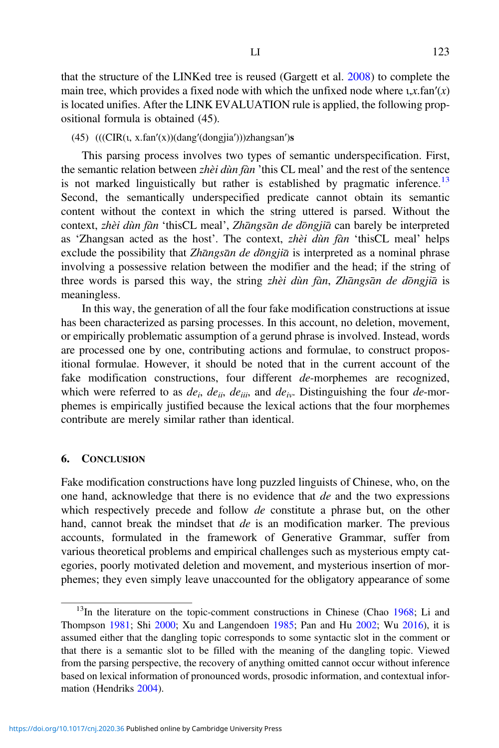that the structure of the LINKed tree is reused (Gargett et al. [2008](#page-35-0)) to complete the main tree, which provides a fixed node with which the unfixed node where  $\alpha$ , x.fan'(x) is located unifies. After the LINK EVALUATION rule is applied, the following propositional formula is obtained (45).

## (45)  $(((CIR(t, x.fan'(x))(dang'(dongjia')))zhangsan's$

This parsing process involves two types of semantic underspecification. First, the semantic relation between zhèi dùn fàn 'this CL meal' and the rest of the sentence is not marked linguistically but rather is established by pragmatic inference.<sup>13</sup> Second, the semantically underspecified predicate cannot obtain its semantic content without the context in which the string uttered is parsed. Without the context, zhèi dùn fàn 'thisCL meal', Zhāngsān de dōngjiā can barely be interpreted as 'Zhangsan acted as the host'. The context, zhèi dùn fàn 'thisCL meal' helps exclude the possibility that Zhangsan de dongjia is interpreted as a nominal phrase involving a possessive relation between the modifier and the head; if the string of three words is parsed this way, the string zhèi dùn fàn, Zhāngsān de dōngjiā is meaningless.

In this way, the generation of all the four fake modification constructions at issue has been characterized as parsing processes. In this account, no deletion, movement, or empirically problematic assumption of a gerund phrase is involved. Instead, words are processed one by one, contributing actions and formulae, to construct propositional formulae. However, it should be noted that in the current account of the fake modification constructions, four different de-morphemes are recognized, which were referred to as  $de_i$ ,  $de_{ii}$ ,  $de_{ii}$ , and  $de_{iv}$ . Distinguishing the four de-morphemes is empirically justified because the lexical actions that the four morphemes contribute are merely similar rather than identical.

#### 6. CONCLUSION

Fake modification constructions have long puzzled linguists of Chinese, who, on the one hand, acknowledge that there is no evidence that de and the two expressions which respectively precede and follow *de* constitute a phrase but, on the other hand, cannot break the mindset that de is an modification marker. The previous accounts, formulated in the framework of Generative Grammar, suffer from various theoretical problems and empirical challenges such as mysterious empty categories, poorly motivated deletion and movement, and mysterious insertion of morphemes; they even simply leave unaccounted for the obligatory appearance of some

 $13$ In the literature on the topic-comment constructions in Chinese (Chao [1968](#page-35-0); Li and Thompson [1981](#page-36-0); Shi [2000;](#page-36-0) Xu and Langendoen [1985;](#page-37-0) Pan and Hu [2002](#page-36-0); Wu [2016\)](#page-37-0), it is assumed either that the dangling topic corresponds to some syntactic slot in the comment or that there is a semantic slot to be filled with the meaning of the dangling topic. Viewed from the parsing perspective, the recovery of anything omitted cannot occur without inference based on lexical information of pronounced words, prosodic information, and contextual information (Hendriks [2004](#page-36-0)).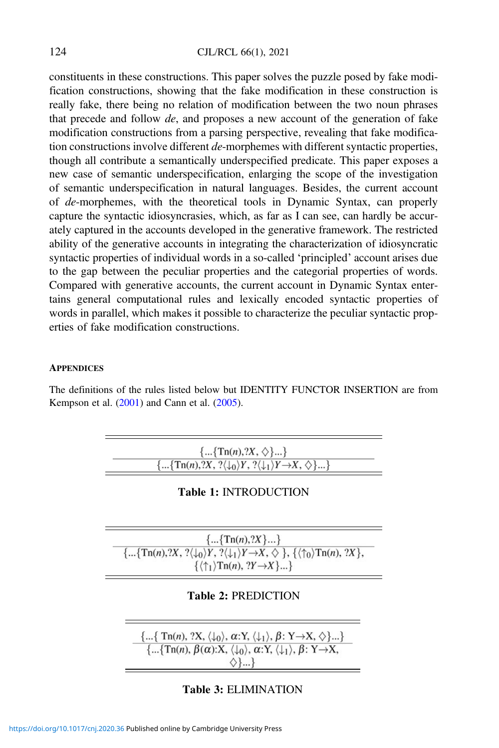#### 124 CJL/RCL 66(1), 2021

constituents in these constructions. This paper solves the puzzle posed by fake modification constructions, showing that the fake modification in these construction is really fake, there being no relation of modification between the two noun phrases that precede and follow de, and proposes a new account of the generation of fake modification constructions from a parsing perspective, revealing that fake modification constructions involve different de-morphemes with different syntactic properties, though all contribute a semantically underspecified predicate. This paper exposes a new case of semantic underspecification, enlarging the scope of the investigation of semantic underspecification in natural languages. Besides, the current account of de-morphemes, with the theoretical tools in Dynamic Syntax, can properly capture the syntactic idiosyncrasies, which, as far as I can see, can hardly be accurately captured in the accounts developed in the generative framework. The restricted ability of the generative accounts in integrating the characterization of idiosyncratic syntactic properties of individual words in a so-called 'principled' account arises due to the gap between the peculiar properties and the categorial properties of words. Compared with generative accounts, the current account in Dynamic Syntax entertains general computational rules and lexically encoded syntactic properties of words in parallel, which makes it possible to characterize the peculiar syntactic properties of fake modification constructions.

#### **APPENDICES**

The definitions of the rules listed below but IDENTITY FUNCTOR INSERTION are from Kempson et al.  $(2001)$  $(2001)$  and Cann et al.  $(2005)$  $(2005)$ .



#### Table 3: ELIMINATION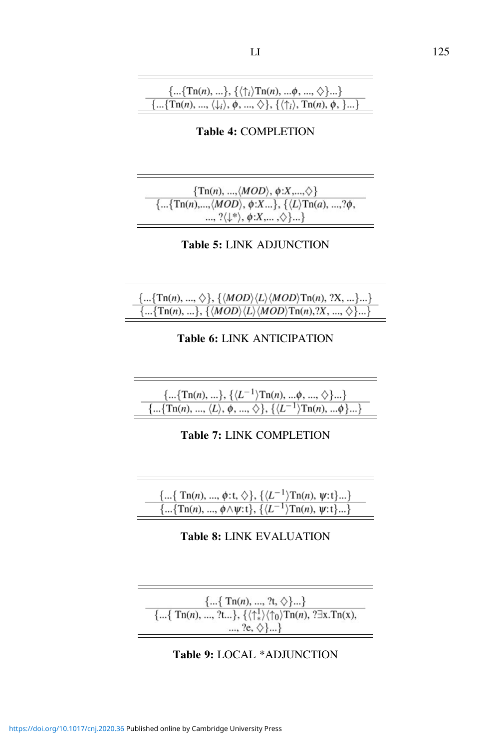Table 4: COMPLETION

 $\{Tn(n), ..., \langle MOD \rangle, \phi:X,...,\diamondsuit\}$  $\{\ldots\{\text{Tr}(n),\ldots,\langle MOD\rangle,\phi:X\ldots\},\{\langle L\rangle\text{Tr}(a),\ldots,\hat{a}\phi,\}$  $\ldots, ?\langle \downarrow^* \rangle, \phi: X, \ldots, \diamondsuit \} \ldots$ 

Table 5: LINK ADJUNCTION

$$
\dfrac{\{...\{Tn(n), ..., \diamond\}, \{\langle MOD \rangle \langle L \rangle \langle MOD \rangle Tn(n), ?X, ... \}...\}}{\{...\{Tn(n), ... \}, \{\langle MOD \rangle \langle L \rangle \langle MOD \rangle Tn(n), ?X, ..., \diamond \}...\}}
$$

# Table 6: LINK ANTICIPATION

$$
\frac{\{...\{Tn(n),...\},\{\langle L^{-1}\rangle Tn(n),...\phi,...,\diamondsuit\}...\}}{\{...\{Tn(n),..., \langle L\rangle,\phi,...,\diamondsuit\},\{\langle L^{-1}\rangle Tn(n),...\phi\}...\}}
$$

Table 7: LINK COMPLETION

| $\{\{ \text{Tr}(n), , \phi: t, \diamondsuit\}, \{\langle L^{-1}\rangle \text{Tr}(n), \psi: t\}\}$ |  |
|---------------------------------------------------------------------------------------------------|--|
| $\{\{Tn(n), , \phi \wedge \psi: t\}, \{\langle L^{-1} \rangle Tn(n), \psi: t\}\}$                 |  |
|                                                                                                   |  |

## Table 8: LINK EVALUATION

 $\label{eq:21} \begin{array}{c} \{\dots \{\;{\rm Tn}(n),\,...,\,{\rm ?t},\,\diamondsuit\}\dots\} \\ \{\dots \{\;{\rm Tn}(n),\,...,\,{\rm ?t}...\},\, \{\langle \uparrow^1_*\rangle \langle \uparrow_0 \rangle {\rm Tn}(n),\, \text{?}\exists {\rm x}.{\rm Tn}({\rm x}), \end{array}$  $..., ?e, \diamondsuit \}...$ 

## Table 9: LOCAL \*ADJUNCTION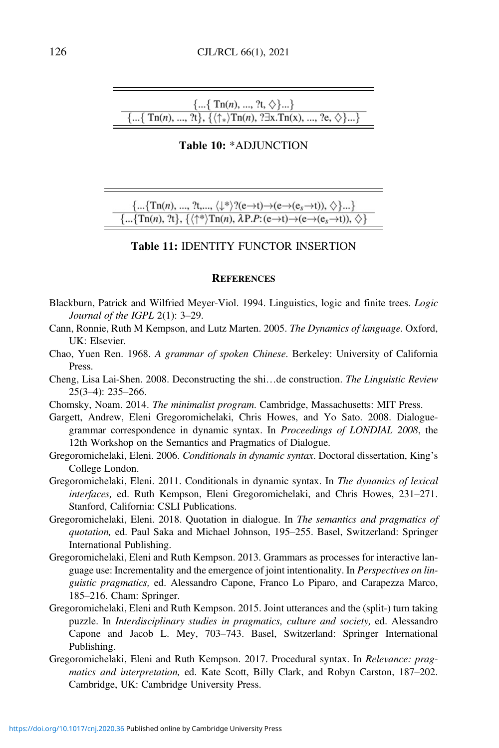<span id="page-35-0"></span>
$$
\frac{\{...\{\text{Tr}(n), ..., ?t, \diamondsuit\}...\}}{\{...\{\text{Tr}(n), ..., ?t\}, \{\langle \uparrow_{*} \rangle \text{Tr}(n), ?\exists x.\text{Tr}(x), ..., ?e, \diamondsuit\}...\}}
$$

#### Table 10: \*ADJUNCTION

 $\{...\{\text{Tr}(n), ..., ?t, ..., \langle \downarrow^*\rangle?(e\rightarrow t)\rightarrow(e\rightarrow(e_s\rightarrow t)), \diamondsuit\}...\}$  $\{\ldots\{\text{Tr}(n), ?t\}, \{\langle \uparrow^*\rangle \text{Tr}(n), \lambda P.P:(e\rightarrow t)\rightarrow (e\rightarrow (e_s\rightarrow t)), \diamondsuit\}$ 

#### Table 11: IDENTITY FUNCTOR INSERTION

#### **REFERENCES**

- Blackburn, Patrick and Wilfried Meyer-Viol. 1994. Linguistics, logic and finite trees. Logic Journal of the IGPL 2(1): 3–29.
- Cann, Ronnie, Ruth M Kempson, and Lutz Marten. 2005. The Dynamics of language. Oxford, UK: Elsevier.
- Chao, Yuen Ren. 1968. A grammar of spoken Chinese. Berkeley: University of California Press.
- Cheng, Lisa Lai-Shen. 2008. Deconstructing the shi…de construction. The Linguistic Review 25(3–4): 235–266.
- Chomsky, Noam. 2014. The minimalist program. Cambridge, Massachusetts: MIT Press.
- Gargett, Andrew, Eleni Gregoromichelaki, Chris Howes, and Yo Sato. 2008. Dialoguegrammar correspondence in dynamic syntax. In Proceedings of LONDIAL 2008, the 12th Workshop on the Semantics and Pragmatics of Dialogue.
- Gregoromichelaki, Eleni. 2006. Conditionals in dynamic syntax. Doctoral dissertation, King's College London.
- Gregoromichelaki, Eleni. 2011. Conditionals in dynamic syntax. In The dynamics of lexical interfaces, ed. Ruth Kempson, Eleni Gregoromichelaki, and Chris Howes, 231–271. Stanford, California: CSLI Publications.
- Gregoromichelaki, Eleni. 2018. Quotation in dialogue. In The semantics and pragmatics of quotation, ed. Paul Saka and Michael Johnson, 195–255. Basel, Switzerland: Springer International Publishing.
- Gregoromichelaki, Eleni and Ruth Kempson. 2013. Grammars as processes for interactive language use: Incrementality and the emergence of joint intentionality. In Perspectives on linguistic pragmatics, ed. Alessandro Capone, Franco Lo Piparo, and Carapezza Marco, 185–216. Cham: Springer.
- Gregoromichelaki, Eleni and Ruth Kempson. 2015. Joint utterances and the (split-) turn taking puzzle. In Interdisciplinary studies in pragmatics, culture and society, ed. Alessandro Capone and Jacob L. Mey, 703–743. Basel, Switzerland: Springer International Publishing.
- Gregoromichelaki, Eleni and Ruth Kempson. 2017. Procedural syntax. In Relevance: pragmatics and interpretation, ed. Kate Scott, Billy Clark, and Robyn Carston, 187–202. Cambridge, UK: Cambridge University Press.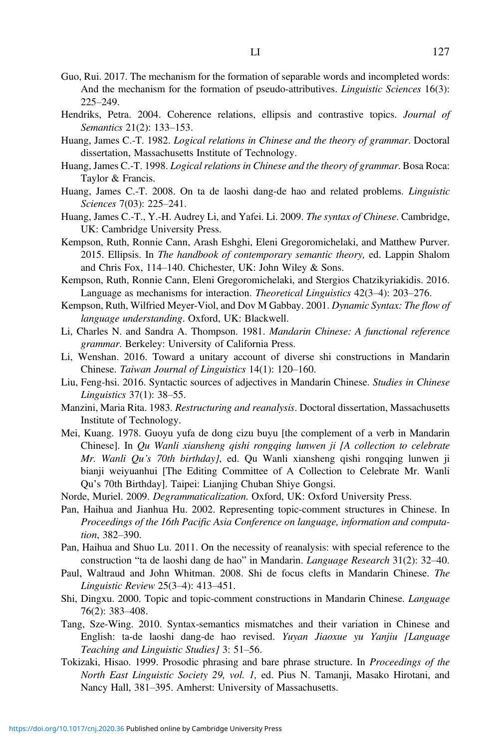- <span id="page-36-0"></span>Guo, Rui. 2017. The mechanism for the formation of separable words and incompleted words: And the mechanism for the formation of pseudo-attributives. *Linguistic Sciences* 16(3): 225–249.
- Hendriks, Petra. 2004. Coherence relations, ellipsis and contrastive topics. Journal of Semantics 21(2): 133–153.
- Huang, James C.-T. 1982. Logical relations in Chinese and the theory of grammar. Doctoral dissertation, Massachusetts Institute of Technology.
- Huang, James C.-T. 1998. Logical relations in Chinese and the theory of grammar. Bosa Roca: Taylor & Francis.
- Huang, James C.-T. 2008. On ta de laoshi dang-de hao and related problems. Linguistic Sciences 7(03): 225–241.
- Huang, James C.-T., Y.-H. Audrey Li, and Yafei. Li. 2009. The syntax of Chinese. Cambridge, UK: Cambridge University Press.
- Kempson, Ruth, Ronnie Cann, Arash Eshghi, Eleni Gregoromichelaki, and Matthew Purver. 2015. Ellipsis. In The handbook of contemporary semantic theory, ed. Lappin Shalom and Chris Fox, 114–140. Chichester, UK: John Wiley & Sons.
- Kempson, Ruth, Ronnie Cann, Eleni Gregoromichelaki, and Stergios Chatzikyriakidis. 2016. Language as mechanisms for interaction. Theoretical Linguistics 42(3–4): 203–276.
- Kempson, Ruth, Wilfried Meyer-Viol, and Dov M Gabbay. 2001. Dynamic Syntax: The flow of language understanding. Oxford, UK: Blackwell.
- Li, Charles N. and Sandra A. Thompson. 1981. Mandarin Chinese: A functional reference grammar. Berkeley: University of California Press.
- Li, Wenshan. 2016. Toward a unitary account of diverse shi constructions in Mandarin Chinese. Taiwan Journal of Linguistics 14(1): 120–160.
- Liu, Feng-hsi. 2016. Syntactic sources of adjectives in Mandarin Chinese. Studies in Chinese Linguistics 37(1): 38–55.
- Manzini, Maria Rita. 1983. Restructuring and reanalysis. Doctoral dissertation, Massachusetts Institute of Technology.
- Mei, Kuang. 1978. Guoyu yufa de dong cizu buyu [the complement of a verb in Mandarin Chinese]. In Qu Wanli xiansheng qishi rongqing lunwen ji [A collection to celebrate Mr. Wanli Qu's 70th birthday], ed. Qu Wanli xiansheng qishi rongqing lunwen ji bianji weiyuanhui [The Editing Committee of A Collection to Celebrate Mr. Wanli Qu's 70th Birthday]. Taipei: Lianjing Chuban Shiye Gongsi.
- Norde, Muriel. 2009. Degrammaticalization. Oxford, UK: Oxford University Press.
- Pan, Haihua and Jianhua Hu. 2002. Representing topic-comment structures in Chinese. In Proceedings of the 16th Pacific Asia Conference on language, information and computation, 382–390.
- Pan, Haihua and Shuo Lu. 2011. On the necessity of reanalysis: with special reference to the construction "ta de laoshi dang de hao" in Mandarin. Language Research 31(2): 32–40.
- Paul, Waltraud and John Whitman. 2008. Shi de focus clefts in Mandarin Chinese. The Linguistic Review 25(3–4): 413–451.
- Shi, Dingxu. 2000. Topic and topic-comment constructions in Mandarin Chinese. Language 76(2): 383–408.
- Tang, Sze-Wing. 2010. Syntax-semantics mismatches and their variation in Chinese and English: ta-de laoshi dang-de hao revised. Yuyan Jiaoxue yu Yanjiu [Language Teaching and Linguistic Studies] 3: 51-56.
- Tokizaki, Hisao. 1999. Prosodic phrasing and bare phrase structure. In Proceedings of the North East Linguistic Society 29, vol. 1, ed. Pius N. Tamanji, Masako Hirotani, and Nancy Hall, 381–395. Amherst: University of Massachusetts.